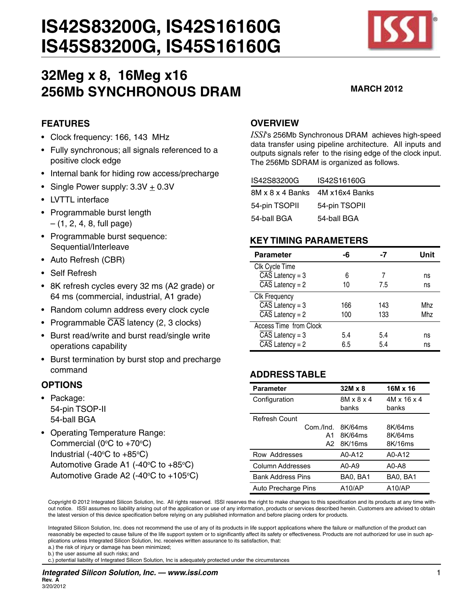

# **32Meg x 8, 16Meg x16 256Mb SYNCHRONOUS DRAM MARCH <sup>2012</sup>**

# **FEATURES**

- Clock frequency: 166, 143 MHz
- Fully synchronous; all signals referenced to a positive clock edge
- Internal bank for hiding row access/precharge
- Single Power supply:  $3.3V + 0.3V$
- LVTTL interface
- • Programmable burst length  $-$  (1, 2, 4, 8, full page)
- Programmable burst sequence: Sequential/Interleave
- • Auto Refresh (CBR)
- • Self Refresh
- • 8K refresh cycles every 32 ms (A2 grade) or 64 ms (commercial, industrial, A1 grade)
- Random column address every clock cycle
- Programmable  $\overline{CAS}$  latency (2, 3 clocks)
- • Burst read/write and burst read/single write operations capability
- Burst termination by burst stop and precharge command

#### **OPTIONS**

- Package: 54-pin TSOP-II 54-ball BGA
- Operating Temperature Range: Commercial (0 $\degree$ C to +70 $\degree$ C) Industrial (-40 $\degree$ C to +85 $\degree$ C) Automotive Grade A1 (-40 $\degree$ C to +85 $\degree$ C) Automotive Grade A2 (-40 $\rm ^{\circ}C$  to +105 $\rm ^{\circ}C)$

## **OVERVIEW**

*ISSI*'s 256Mb Synchronous DRAM achieves high-speed data transfer using pipeline architecture. All inputs and outputs signals refer to the rising edge of the clock input. The 256Mb SDRAM is organized as follows.

| IS42S83200G                      | IS42S16160G   |
|----------------------------------|---------------|
| 8M x 8 x 4 Banks 4M x 16x4 Banks |               |
| 54-pin TSOPII                    | 54-pin TSOPII |
| 54-ball BGA                      | 54-ball BGA   |

#### **KEY TIMING PARAMETERS**

| <b>Parameter</b>             | -6  | -7  | Unit |
|------------------------------|-----|-----|------|
| Clk Cycle Time               |     |     |      |
| $\overline{CAS}$ Latency = 3 | 6   |     | ns   |
| $\overline{CAS}$ Latency = 2 | 10  | 7.5 | ns   |
| Clk Frequency                |     |     |      |
| $\overline{CAS}$ Latency = 3 | 166 | 143 | Mhz  |
| $\overline{CAS}$ Latency = 2 | 100 | 133 | Mhz  |
| Access Time from Clock       |     |     |      |
| $\overline{CAS}$ Latency = 3 | 5.4 | 5.4 | ns   |
| $\overline{CAS}$ Latency = 2 | 6.5 | 5.4 | ns   |

# **ADDRESS TABLE**

| <b>Parameter</b>         | $32M \times 8$                  | 16M x 16             |
|--------------------------|---------------------------------|----------------------|
| Configuration            | $8M \times 8 \times 4$<br>banks | 4M x 16 x 4<br>banks |
| Refresh Count            |                                 |                      |
| Com /Ind.                | 8K/64ms                         | 8K/64ms              |
| A1                       | 8K/64ms                         | 8K/64ms              |
| A2                       | 8K/16ms                         | 8K/16ms              |
| Row Addresses            | A0-A12                          | A0-A12               |
| Column Addresses         | $A0-A9$                         | $A0 - A8$            |
| <b>Bank Address Pins</b> | BA0, BA1                        | BA0, BA1             |
| Auto Precharge Pins      | A10/AP                          | A10/AP               |

Copyright © 2012 Integrated Silicon Solution, Inc. All rights reserved. ISSI reserves the right to make changes to this specification and its products at any time without notice. ISSI assumes no liability arising out of the application or use of any information, products or services described herein. Customers are advised to obtain the latest version of this device specification before relying on any published information and before placing orders for products.

Integrated Silicon Solution, Inc. does not recommend the use of any of its products in life support applications where the failure or malfunction of the product can reasonably be expected to cause failure of the life support system or to significantly affect its safety or effectiveness. Products are not authorized for use in such applications unless Integrated Silicon Solution, Inc. receives written assurance to its satisfaction, that:

a.) the risk of injury or damage has been minimized;

b.) the user assume all such risks; and

c.) potential liability of Integrated Silicon Solution, Inc is adequately protected under the circumstances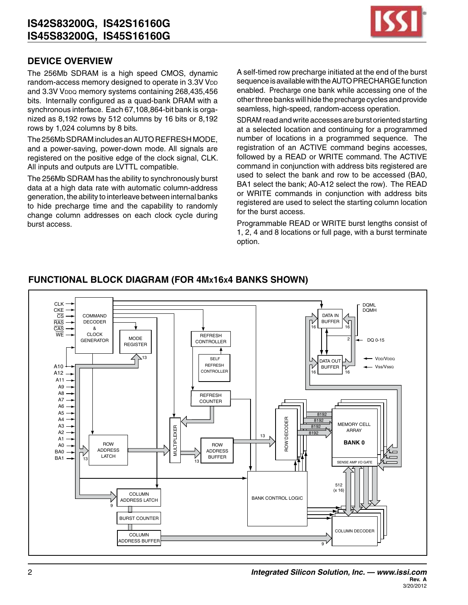

## **DEVICE OVERVIEW**

The 256Mb SDRAM is a high speed CMOS, dynamic random-access memory designed to operate in 3.3V VDD and 3.3V VDDQ memory systems containing 268,435,456 bits. Internally configured as a quad-bank DRAM with a synchronous interface. Each 67,108,864-bit bank is organized as 8,192 rows by 512 columns by 16 bits or 8,192 rows by 1,024 columns by 8 bits.

The 256Mb SDRAM includes an AUTO REFRESH MODE, and a power-saving, power-down mode. All signals are registered on the positive edge of the clock signal, CLK. All inputs and outputs are LVTTL compatible.

The 256Mb SDRAM has the ability to synchronously burst data at a high data rate with automatic column-address generation, the ability to interleave between internal banks to hide precharge time and the capability to randomly change column addresses on each clock cycle during burst access.

A self-timed row precharge initiated at the end of the burst sequence is available with the AUTO PRECHARGE function enabled. Precharge one bank while accessing one of the otherthree banks will hide the precharge cycles andprovide seamless, high-speed, random-access operation.

SDRAM read and write accesses are burst oriented starting at a selected location and continuing for a programmed number of locations in a programmed sequence. The registration of an ACTIVE command begins accesses, followed by a READ or WRITE command. The ACTIVE command in conjunction with address bits registered are used to select the bank and row to be accessed (BA0, BA1 select the bank; A0-A12 select the row). The READ or WRITE commands in conjunction with address bits registered are used to select the starting column location for the burst access.

Programmable READ or WRITE burst lengths consist of 1, 2, 4 and 8 locations or full page, with a burst terminate option.



# **FUNCTIONAL BLOCK DIAGRAM (For 4Mx16x4 Banks SHOWN)**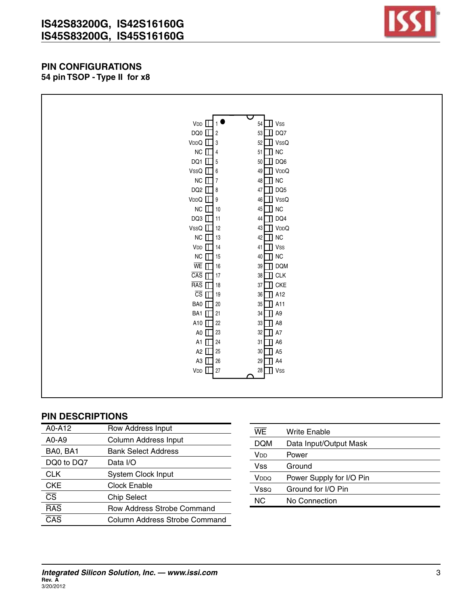

#### **PIN CONFIGURATIONS 54 pin TSOP - Type II for x8**

| $VDD$ $\Box$                              | $54$ $\Box$ Vss                 |  |
|-------------------------------------------|---------------------------------|--|
| DQ0 $\Box$ 2                              | $\mathbf I$ dq7<br>53           |  |
| $VDDQ \quad \boxed{\phantom{1}}$ 3        | $\mathbb I$ VssQ<br>52          |  |
| $NC \Box$ 4                               | $51$ NC                         |  |
| DQ1 $\Box$ 5                              | $\Box$ DQ6<br>50                |  |
| VssQ $\Box$ 6                             | 49 VDDQ                         |  |
| $NC \Box$ 7                               | $\blacksquare$ NC<br>48         |  |
| DQ2 $\Box$ 8                              | $\mathbb I$ DQ5<br>$47\sqrt{ }$ |  |
| $VDDQ$ $\Box$ 9                           | 46 VssQ                         |  |
| $NC$ $\Box$ 10                            | 45 <b>I</b> NC                  |  |
| $DQ3$ $\Box$ 11                           | 44 <b>DQ4</b>                   |  |
| $VSSQ$ 12                                 | 43 VDDQ                         |  |
| $NC$ $\Box$ 13                            | $\blacksquare$ NC<br>42         |  |
| $VDD$ 14                                  | $41$ $\blacksquare$ Vss         |  |
| $NC$ 15                                   | 40 T NC                         |  |
| $\overline{\text{WE}}$ $\prod$ 16         | 39 DQM                          |  |
| $\overline{CAS}$ $\Box$ 17                | $38$ OLK                        |  |
| $\overline{RAS}$ $\boxed{\phantom{1}}$ 18 | $\mathbb I$ CKE<br>37           |  |
| $\overline{CS}$ $\prod$ 19                | 36 A12                          |  |
| BA0 <b>□</b> 20                           | 35 1 A11                        |  |
| BA1 1 21                                  | $34$ $\Box$ A9                  |  |
| A10 122                                   | 33 <b>B</b> A8                  |  |
| A0 1 23                                   | 32<br>$\mathbb{I}$ A7           |  |
| A1 1 24                                   | $31$ $\Box$ A6                  |  |
| A2 $\Box$ 25                              | 30 B A5                         |  |
| A3 1 26                                   | 29 A4                           |  |
| $VDD$ $\Box$ 27                           | $28$ $\blacksquare$ Vss         |  |
|                                           |                                 |  |
|                                           |                                 |  |

| A0-A12                 | Row Address Input                 |
|------------------------|-----------------------------------|
| A0-A9                  | Column Address Input              |
| BA0, BA1               | <b>Bank Select Address</b>        |
| DQ0 to DQ7             | Data I/O                          |
| CLK                    | <b>System Clock Input</b>         |
| <b>CKE</b>             | Clock Enable                      |
| $\overline{\text{CS}}$ | <b>Chip Select</b>                |
| <b>RAS</b>             | <b>Row Address Strobe Command</b> |
| CAS                    | Column Address Strobe Command     |

| WE.              | Write Enable             |
|------------------|--------------------------|
| DQM              | Data Input/Output Mask   |
| V <sub>DD</sub>  | Power                    |
| Vss              | Ground                   |
| V <sub>DDQ</sub> | Power Supply for I/O Pin |
| Vsso             | Ground for I/O Pin       |
| NС               | No Connection            |
|                  |                          |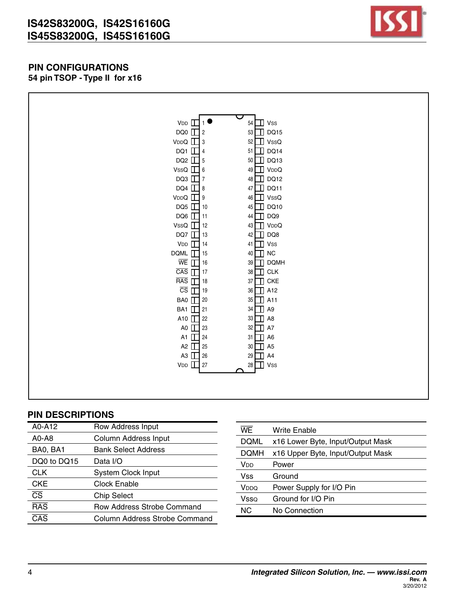

#### **PIN CONFIGURATIONS 54 pin TSOP - Type II for x16**

| $VDD$ $\Box$                      |                       | $54$ $\Box$ Vss         |
|-----------------------------------|-----------------------|-------------------------|
| DQ0 $\Box$ 2                      |                       | 53 DQ15                 |
| $VDDQ$ $\Box$ 3                   |                       | $52$ VssQ               |
| DQ1 $\Box$ 4                      | 51                    | $\Box$ DQ14             |
| DQ2 $\Box$ 5                      |                       | 50 DQ13                 |
| VssQ $\Box$ 6                     |                       | 49 VDDQ                 |
| DQ3 $\Box$ 7                      |                       | 48 DQ12                 |
| DQ4 $\Box$ 8                      |                       | 47 DQ11                 |
| $VDDQ$ $\Box$ 9                   |                       | 46 VssQ                 |
| DQ5 $\Box$ 10                     | 45                    | $\mathbb{I}$ DQ10       |
| DQ6 11                            |                       | 44 DQ9                  |
| VssQ $\boxed{\phantom{1}}$ 12     |                       | 43 TVDDQ                |
| DQ7 13                            | 42                    | DQ8                     |
| $VDD$ 14                          |                       | $41$ $\blacksquare$ Vss |
| DQML $\boxed{15}$ 15              |                       | 40 1 NC                 |
| $\overline{\text{WE}}$ $\prod$ 16 | 39                    | <b>DQMH</b>             |
| $\overline{CAS}$ $\prod$ 17       |                       | 38 <b>T</b> CLK         |
| $\overline{RAS}$ $\boxed{18}$     | 37                    | $\prod$ CKE             |
| $\overline{\text{cs}}$ $\Box$     | 19<br>36              | $\Box$ A12              |
| $BA0$ $\Box$ 20                   |                       | 35 1 A11                |
| BA1 1 21                          |                       | $34$ $\Box$ A9          |
| A10 $\Gamma$                      | 22<br>33              | $\Box$ A8               |
| A0 1 23                           | 32                    | A7<br>╖                 |
| A1 1 24                           |                       | $31$ $\Box$ A6          |
| A2 $\Box$                         | 25<br>30 <sup>°</sup> | $\Box$ A5               |
| A3 26                             |                       | 29 1 A4                 |
| $VDD$ $\Box$                      | 27                    | $28$ $\blacksquare$ Vss |
|                                   |                       |                         |
|                                   |                       |                         |
|                                   |                       |                         |

| A0-A12                 | Row Address Input             |
|------------------------|-------------------------------|
| A0-A8                  | Column Address Input          |
| BA0, BA1               | <b>Bank Select Address</b>    |
| DQ0 to DQ15            | Data I/O                      |
| CLK                    | <b>System Clock Input</b>     |
| <b>CKE</b>             | Clock Enable                  |
| $\overline{\text{CS}}$ | <b>Chip Select</b>            |
| <b>RAS</b>             | Row Address Strobe Command    |
| CAS                    | Column Address Strobe Command |
|                        |                               |

| WE.  | Write Enable                      |
|------|-----------------------------------|
| DQML | x16 Lower Byte, Input/Output Mask |
| DQMH | x16 Upper Byte, Input/Output Mask |
| Vnn  | Power                             |
| Vss  | Ground                            |
| VDDQ | Power Supply for I/O Pin          |
| Vsso | Ground for I/O Pin                |
| ΝC   | No Connection                     |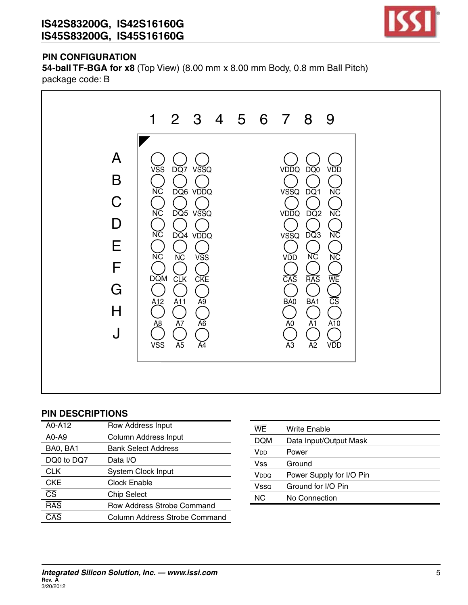

# **PIN CONFIGURATION**

**54-ball TF-BGA for x8** (Top View) (8.00 mm x 8.00 mm Body, 0.8 mm Ball Pitch) package code: B



| A0-A12                 | Row Address Input                 |
|------------------------|-----------------------------------|
| A0-A9                  | Column Address Input              |
| BA0, BA1               | <b>Bank Select Address</b>        |
| DQ0 to DQ7             | Data I/O                          |
| <b>CLK</b>             | <b>System Clock Input</b>         |
| <b>CKE</b>             | Clock Enable                      |
| $\overline{\text{CS}}$ | <b>Chip Select</b>                |
| <b>RAS</b>             | <b>Row Address Strobe Command</b> |
| CAS                    | Column Address Strobe Command     |

| <b>WE</b>        | Write Enable             |
|------------------|--------------------------|
| <b>DQM</b>       | Data Input/Output Mask   |
| Vdd              | Power                    |
| Vss              | Ground                   |
| V <sub>DDQ</sub> | Power Supply for I/O Pin |
| Vsso             | Ground for I/O Pin       |
| NC.              | No Connection            |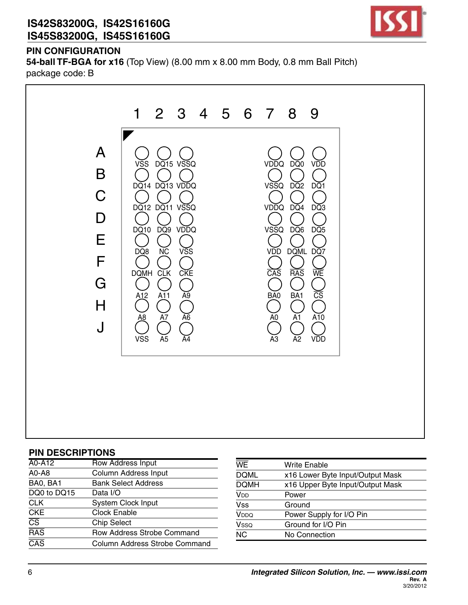

# **PIN CONFIGURATION**

**54-ball TF-BGA for x16** (Top View) (8.00 mm x 8.00 mm Body, 0.8 mm Ball Pitch) package code: B



| A0-A12                            | <b>Row Address Input</b>             |
|-----------------------------------|--------------------------------------|
| A0-A8                             | <b>Column Address Input</b>          |
| BA0, BA1                          | <b>Bank Select Address</b>           |
| DQ0 to DQ15                       | Data I/O                             |
| <b>CLK</b>                        | <b>System Clock Input</b>            |
| <b>CKE</b>                        | <b>Clock Enable</b>                  |
| $\overline{\overline{\text{CS}}}$ | <b>Chip Select</b>                   |
| $\overline{RAS}$                  | Row Address Strobe Command           |
| $\overline{\text{CAS}}$           | <b>Column Address Strobe Command</b> |

| <b>WE</b>             | Write Enable                     |
|-----------------------|----------------------------------|
| <b>DQML</b>           | x16 Lower Byte Input/Output Mask |
| <b>DQMH</b>           | x16 Upper Byte Input/Output Mask |
| <b>V<sub>DD</sub></b> | Power                            |
| <b>Vss</b>            | Ground                           |
| V <sub>DDQ</sub>      | Power Supply for I/O Pin         |
| Vsso                  | Ground for I/O Pin               |
| N <sub>C</sub>        | No Connection                    |
|                       |                                  |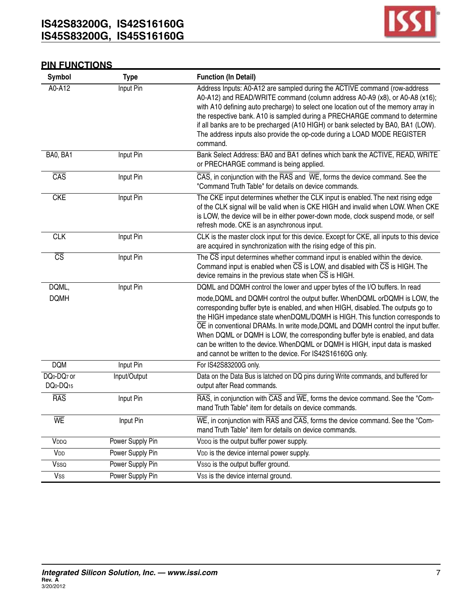

# **PIN FUNCTIONS**

| Symbol                                                                   | <b>Type</b>      | <b>Function (In Detail)</b>                                                                                                                                                                                                                                                                                                                                                                                                                                                                                                                                      |
|--------------------------------------------------------------------------|------------------|------------------------------------------------------------------------------------------------------------------------------------------------------------------------------------------------------------------------------------------------------------------------------------------------------------------------------------------------------------------------------------------------------------------------------------------------------------------------------------------------------------------------------------------------------------------|
| A0-A12                                                                   | Input Pin        | Address Inputs: A0-A12 are sampled during the ACTIVE command (row-address<br>A0-A12) and READ/WRITE command (column address A0-A9 (x8), or A0-A8 (x16);<br>with A10 defining auto precharge) to select one location out of the memory array in<br>the respective bank. A10 is sampled during a PRECHARGE command to determine<br>if all banks are to be precharged (A10 HIGH) or bank selected by BA0, BA1 (LOW).<br>The address inputs also provide the op-code during a LOAD MODE REGISTER<br>command.                                                         |
| BA0, BA1                                                                 | Input Pin        | Bank Select Address: BA0 and BA1 defines which bank the ACTIVE, READ, WRITE<br>or PRECHARGE command is being applied.                                                                                                                                                                                                                                                                                                                                                                                                                                            |
| $\overline{CAS}$                                                         | Input Pin        | $\overline{CAS}$ , in conjunction with the $\overline{RAS}$ and $\overline{WE}$ , forms the device command. See the<br>"Command Truth Table" for details on device commands.                                                                                                                                                                                                                                                                                                                                                                                     |
| <b>CKE</b>                                                               | Input Pin        | The CKE input determines whether the CLK input is enabled. The next rising edge<br>of the CLK signal will be valid when is CKE HIGH and invalid when LOW. When CKE<br>is LOW, the device will be in either power-down mode, clock suspend mode, or self<br>refresh mode. CKE is an asynchronous input.                                                                                                                                                                                                                                                           |
| <b>CLK</b>                                                               | Input Pin        | CLK is the master clock input for this device. Except for CKE, all inputs to this device<br>are acquired in synchronization with the rising edge of this pin.                                                                                                                                                                                                                                                                                                                                                                                                    |
| $\overline{\text{CS}}$                                                   | Input Pin        | The CS input determines whether command input is enabled within the device.<br>Command input is enabled when $\overline{CS}$ is LOW, and disabled with $\overline{CS}$ is HIGH. The<br>device remains in the previous state when $\overline{\text{CS}}$ is HIGH.                                                                                                                                                                                                                                                                                                 |
| DQML,                                                                    | Input Pin        | DQML and DQMH control the lower and upper bytes of the I/O buffers. In read                                                                                                                                                                                                                                                                                                                                                                                                                                                                                      |
| <b>DQMH</b>                                                              |                  | mode, DQML and DQMH control the output buffer. WhenDQML orDQMH is LOW, the<br>corresponding buffer byte is enabled, and when HIGH, disabled. The outputs go to<br>the HIGH impedance state whenDQML/DQMH is HIGH. This function corresponds to<br>OE in conventional DRAMs. In write mode, DQML and DQMH control the input buffer.<br>When DQML or DQMH is LOW, the corresponding buffer byte is enabled, and data<br>can be written to the device. WhenDQML or DQMH is HIGH, input data is masked<br>and cannot be written to the device. For IS42S16160G only. |
| <b>DQM</b>                                                               | Input Pin        | For IS42S83200G only.                                                                                                                                                                                                                                                                                                                                                                                                                                                                                                                                            |
| DQ <sub>0</sub> -DQ <sub>7</sub> or<br>DQ <sub>0</sub> -DQ <sub>15</sub> | Input/Output     | Data on the Data Bus is latched on DQ pins during Write commands, and buffered for<br>output after Read commands.                                                                                                                                                                                                                                                                                                                                                                                                                                                |
| <b>RAS</b>                                                               | Input Pin        | RAS, in conjunction with CAS and WE, forms the device command. See the "Com-<br>mand Truth Table" item for details on device commands.                                                                                                                                                                                                                                                                                                                                                                                                                           |
| WE                                                                       | Input Pin        | $\overline{\text{WE}}$ , in conjunction with $\overline{\text{RAS}}$ and $\overline{\text{CAS}}$ , forms the device command. See the "Com-<br>mand Truth Table" item for details on device commands.                                                                                                                                                                                                                                                                                                                                                             |
| VDDQ                                                                     | Power Supply Pin | VDDQ is the output buffer power supply.                                                                                                                                                                                                                                                                                                                                                                                                                                                                                                                          |
| V <sub>DD</sub>                                                          | Power Supply Pin | VDD is the device internal power supply.                                                                                                                                                                                                                                                                                                                                                                                                                                                                                                                         |
| Vsso                                                                     | Power Supply Pin | Vsso is the output buffer ground.                                                                                                                                                                                                                                                                                                                                                                                                                                                                                                                                |
| <b>Vss</b>                                                               | Power Supply Pin | Vss is the device internal ground.                                                                                                                                                                                                                                                                                                                                                                                                                                                                                                                               |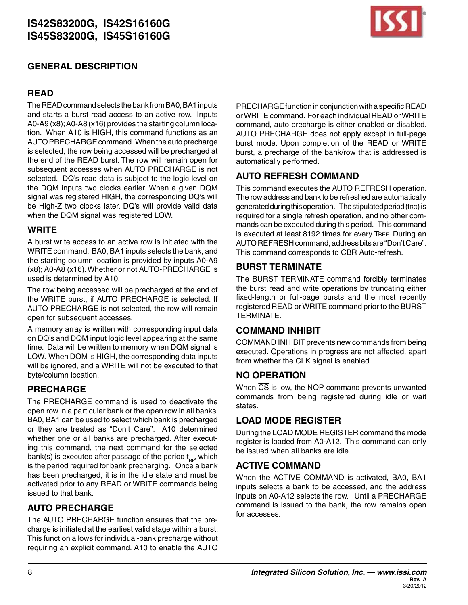

# **GENERAL DESCRIPTION**

# **READ**

The READ command selects the bank from BA0, BA1 inputs and starts a burst read access to an active row. Inputs A0-A9 (x8);A0-A8 (x16) provides the starting column location. When A10 is HIGH, this command functions as an AUTO PRECHARGE command. When the auto precharge is selected, the row being accessed will be precharged at the end of the READ burst. The row will remain open for subsequent accesses when AUTO PRECHARGE is not selected. DQ's read data is subject to the logic level on the DQM inputs two clocks earlier. When a given DQM signal was registered HIGH, the corresponding DQ's will be High-Z two clocks later. DQ's will provide valid data when the DQM signal was registered LOW.

## **WRITE**

A burst write access to an active row is initiated with the WRITE command. BA0, BA1 inputs selects the bank, and the starting column location is provided by inputs A0-A9 (x8); A0-A8 (x16).Whether or not AUTO-PRECHARGE is used is determined by A10.

The row being accessed will be precharged at the end of the WRITE burst, if AUTO PRECHARGE is selected. If AUTO PRECHARGE is not selected, the row will remain open for subsequent accesses.

A memory array is written with corresponding input data on DQ's and DQM input logic level appearing at the same time. Data will be written to memory when DQM signal is LOW. When DQM is HIGH, the corresponding data inputs will be ignored, and a WRITE will not be executed to that byte/column location.

# **PRECHARGE**

The PRECHARGE command is used to deactivate the open row in a particular bank or the open row in all banks. BA0, BA1 can be used to select which bank is precharged or they are treated as "Don't Care". A10 determined whether one or all banks are precharged. After executing this command, the next command for the selected bank(s) is executed after passage of the period  $\mathfrak{t}_{_{\mathsf{RP}}}$ , which is the period required for bank precharging. Once a bank has been precharged, it is in the idle state and must be activated prior to any READ or WRITE commands being issued to that bank.

# **AUTO PRECHARGE**

The AUTO PRECHARGE function ensures that the precharge is initiated at the earliest valid stage within a burst. This function allows for individual-bank precharge without requiring an explicit command. A10 to enable the AUTO

PRECHARGE function in conjunction with a specific READ orWRITE command. For each individual READ orWRITE command, auto precharge is either enabled or disabled. AUTO PRECHARGE does not apply except in full-page burst mode. Upon completion of the READ or WRITE burst, a precharge of the bank/row that is addressed is automatically performed.

# **AUTO REFRESH COMMAND**

This command executes the AUTO REFRESH operation. The row address and bank to be refreshed are automatically generated during this operation. The stipulated period (t<sub>RC</sub>) is required for a single refresh operation, and no other commands can be executed during this period. This command is executed at least 8192 times for every TREF. During an AUTO REFRESH command, address bits are "Don't Care". This command corresponds to CBR Auto-refresh.

# **BURST TERMINATE**

The BURST TERMINATE command forcibly terminates the burst read and write operations by truncating either fixed-length or full-page bursts and the most recently registered READ or WRITE command prior to the BURST TERMINATE.

# **COMMAND INHIBIT**

COMMAND INHIBIT prevents new commands from being executed. Operations in progress are not affected, apart from whether the CLK signal is enabled

# **NO OPERATION**

When  $\overline{CS}$  is low, the NOP command prevents unwanted commands from being registered during idle or wait states.

# **LOAD MODE REGISTER**

During the LOAD MODE REGISTER command the mode register is loaded from A0-A12. This command can only be issued when all banks are idle.

# **ACTIVE COMMAND**

When the ACTIVE COMMAND is activated, BA0, BA1 inputs selects a bank to be accessed, and the address inputs on A0-A12 selects the row. Until a PRECHARGE command is issued to the bank, the row remains open for accesses.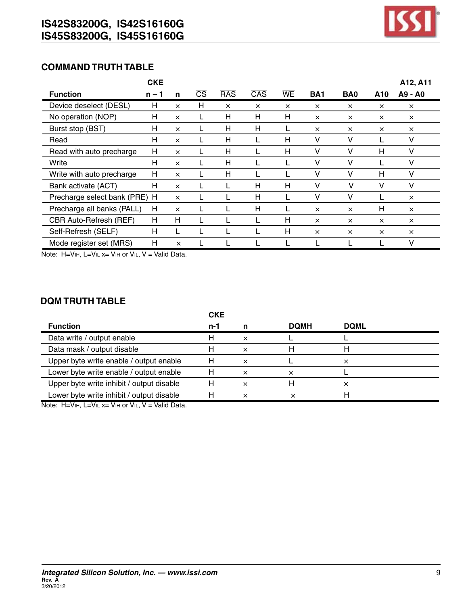

# **COMMAND TRUTH TABLE**

|                               | <b>CKE</b> |          |                        |            |                  |          |            |                 |          | A12, A11 |
|-------------------------------|------------|----------|------------------------|------------|------------------|----------|------------|-----------------|----------|----------|
| <b>Function</b>               | $n - 1$    | n        | $\overline{\text{CS}}$ | <b>RAS</b> | $\overline{CAS}$ | WE       | <b>BA1</b> | BA <sub>0</sub> | A10      | A9 - A0  |
| Device deselect (DESL)        | H          | $\times$ | н                      | $\times$   | $\times$         | $\times$ | $\times$   | $\times$        | $\times$ | $\times$ |
| No operation (NOP)            | H          | $\times$ |                        | н          | H                | н        | $\times$   | $\times$        | $\times$ | $\times$ |
| Burst stop (BST)              | H          | $\times$ |                        | н          | Н                |          | $\times$   | $\times$        | $\times$ | $\times$ |
| Read                          | н          | $\times$ |                        | н          |                  | н        | v          | v               |          |          |
| Read with auto precharge      | H          | $\times$ |                        | н          |                  | н        | v          | v               | н        | v        |
| Write                         | H          | $\times$ |                        | н          |                  |          | v          | v               |          | v        |
| Write with auto precharge     | H          | $\times$ |                        | н          |                  |          | v          | v               | н        | V        |
| Bank activate (ACT)           | H          | $\times$ |                        |            | H                | н        | v          | v               | v        | V        |
| Precharge select bank (PRE) H |            | $\times$ |                        |            | H                |          | v          | v               |          | $\times$ |
| Precharge all banks (PALL)    | H          | $\times$ |                        |            | H                |          | $\times$   | $\times$        | Н        | $\times$ |
| CBR Auto-Refresh (REF)        | H          | н        |                        |            |                  | н        | $\times$   | $\times$        | $\times$ | $\times$ |
| Self-Refresh (SELF)           | H          |          |                        |            |                  | Н        | $\times$   | $\times$        | $\times$ | $\times$ |
| Mode register set (MRS)       | H          | $\times$ |                        |            |                  |          |            |                 |          | v        |

Note: H=Vih, L=Vil x= Vih or Vil, V = Valid Data.

### **DQM TRUTH TABLE**

|                                           | <b>CKE</b> |          |             |             |  |
|-------------------------------------------|------------|----------|-------------|-------------|--|
| <b>Function</b>                           | n-1        |          | <b>DOMH</b> | <b>DOML</b> |  |
| Data write / output enable                | н          | ×        |             |             |  |
| Data mask / output disable                |            | $\times$ |             |             |  |
| Upper byte write enable / output enable   |            | ×        |             |             |  |
| Lower byte write enable / output enable   |            |          |             |             |  |
| Upper byte write inhibit / output disable |            |          |             |             |  |
| Lower byte write inhibit / output disable |            | ×        |             |             |  |
|                                           |            |          |             |             |  |

Note:  $H=V_{iH}$ , L=V<sub>IL</sub>  $x=V_{iH}$  or V<sub>IL</sub>, V = Valid Data.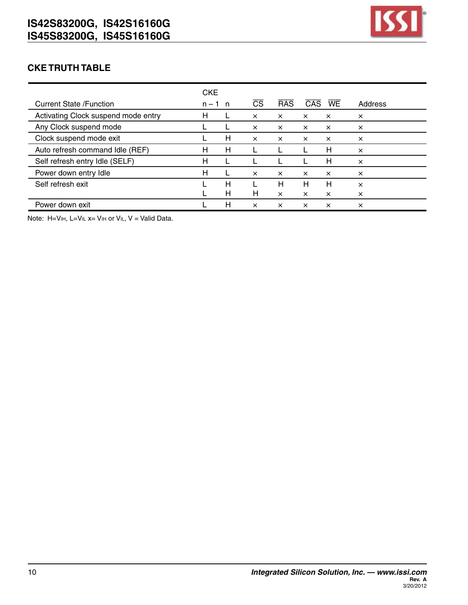

# **CKE TRUTH TABLE**

|                                     | <b>CKE</b> |    |          |            |          |           |          |
|-------------------------------------|------------|----|----------|------------|----------|-----------|----------|
| <b>Current State /Function</b>      | $n - 1$    | n, | CS       | <b>RAS</b> | CAS.     | <b>WE</b> | Address  |
| Activating Clock suspend mode entry | н          |    | $\times$ | $\times$   | $\times$ | $\times$  | $\times$ |
| Any Clock suspend mode              |            |    | $\times$ | $\times$   | $\times$ | $\times$  | $\times$ |
| Clock suspend mode exit             |            | H  | $\times$ | $\times$   | $\times$ | $\times$  | $\times$ |
| Auto refresh command Idle (REF)     | н          | H  |          |            |          | H         | $\times$ |
| Self refresh entry Idle (SELF)      | н          |    |          |            |          | H         | $\times$ |
| Power down entry Idle               | Н          |    | $\times$ | $\times$   | $\times$ | $\times$  | $\times$ |
| Self refresh exit                   |            | н  |          | Н          | н        | Н         | ×        |
|                                     |            | H  | Н        | $\times$   | $\times$ | $\times$  | ×        |
| Power down exit                     |            | н  | $\times$ | x          | $\times$ | x         | x        |

Note: H=VIH, L=VIL x= VIH or VIL, V = Valid Data.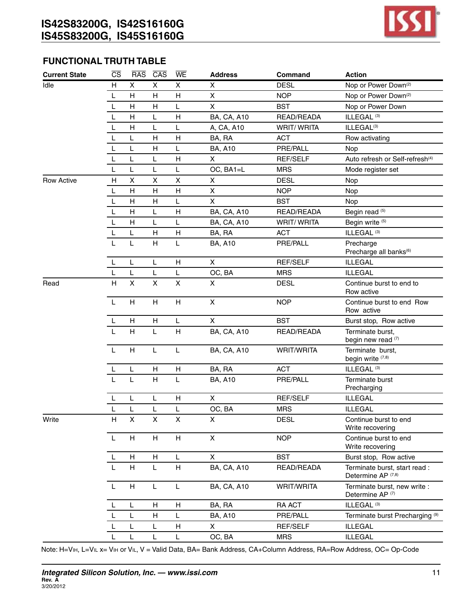

#### **FUNCTIONAL TRUTH TABLE**

| <b>Current State</b> | $\overline{\text{CS}}$ | <b>RAS</b>                | $\overline{CAS}$ | WE | <b>Address</b>     | Command           | <b>Action</b>                                                  |
|----------------------|------------------------|---------------------------|------------------|----|--------------------|-------------------|----------------------------------------------------------------|
| Idle                 | Н                      | X                         | X                | X  | X                  | <b>DESL</b>       | Nop or Power Down <sup>(2)</sup>                               |
|                      | L                      | H                         | H                | H  | $\mathsf{X}$       | <b>NOP</b>        | Nop or Power Down <sup>(2)</sup>                               |
|                      | L                      | $\mathsf{H}$              | Н                | L  | $\pmb{\times}$     | <b>BST</b>        | Nop or Power Down                                              |
|                      | L                      | Н                         | L                | н  | <b>BA, CA, A10</b> | READ/READA        | ILLEGAL <sup>(3)</sup>                                         |
|                      | L                      | H                         | L                | L  | A, CA, A10         | <b>WRIT/WRITA</b> | ILLEGAL <sup>(3)</sup>                                         |
|                      | L                      | L                         | Н                | H  | BA, RA             | <b>ACT</b>        | Row activating                                                 |
|                      | L                      | L                         | н                | L  | <b>BA, A10</b>     | PRE/PALL          | Nop                                                            |
|                      | L                      | L                         | L                | H  | X                  | REF/SELF          | Auto refresh or Self-refresh <sup>(4)</sup>                    |
|                      | L                      | L                         | L                | L  | OC, BA1=L          | <b>MRS</b>        | Mode register set                                              |
| <b>Row Active</b>    | н                      | X                         | X                | Χ  | X                  | <b>DESL</b>       | Nop                                                            |
|                      | L                      | H                         | Н                | H  | X                  | <b>NOP</b>        | Nop                                                            |
|                      | L                      | H                         | H                | L  | $\mathsf{X}$       | <b>BST</b>        | Nop                                                            |
|                      | L                      | H                         | L                | H  | <b>BA, CA, A10</b> | READ/READA        | Begin read (5)                                                 |
|                      | L                      | н                         | L                | L  | <b>BA, CA, A10</b> | <b>WRIT/WRITA</b> | Begin write (5)                                                |
|                      | L                      | Г                         | Н                | H  | BA, RA             | <b>ACT</b>        | ILLEGAL <sup>(3)</sup>                                         |
|                      | L                      | L                         | Н                | L  | <b>BA, A10</b>     | PRE/PALL          | Precharge<br>Precharge all banks <sup>(6)</sup>                |
|                      | L                      | L                         | L.               | H  | $\mathsf{X}$       | <b>REF/SELF</b>   | <b>ILLEGAL</b>                                                 |
|                      | L                      | L                         | L                | L  | OC, BA             | <b>MRS</b>        | <b>ILLEGAL</b>                                                 |
| Read                 | H                      | $\mathsf{X}$              | $\mathsf{x}$     | X  | $\mathsf{X}$       | <b>DESL</b>       | Continue burst to end to<br>Row active                         |
|                      | $\mathsf{L}$           | H                         | H                | H  | $\mathsf{X}$       | <b>NOP</b>        | Continue burst to end Row<br>Row active                        |
|                      | L                      | H                         | H                | L  | $\mathsf{X}$       | <b>BST</b>        | Burst stop, Row active                                         |
|                      | L                      | H                         | Г                | H  | <b>BA, CA, A10</b> | READ/READA        | Terminate burst,<br>begin new read (7)                         |
|                      | L                      | H                         | L                | L  | <b>BA, CA, A10</b> | WRIT/WRITA        | Terminate burst,<br>begin write (7,8)                          |
|                      | L                      | L                         | Н                | Н  | BA, RA             | <b>ACT</b>        | ILLEGAL <sup>(3)</sup>                                         |
|                      |                        | L                         | Н                | L  | <b>BA, A10</b>     | PRE/PALL          | Terminate burst<br>Precharging                                 |
|                      |                        | L                         | L                | H  | $\pmb{\times}$     | REF/SELF          | <b>ILLEGAL</b>                                                 |
|                      | L                      | L                         | L                | L  | OC, BA             | <b>MRS</b>        | <b>ILLEGAL</b>                                                 |
| Write                | H.                     | X                         | X                | X  | X                  | <b>DESL</b>       | Continue burst to end<br>Write recovering                      |
|                      | L                      | н                         | H                | H  | $\pmb{\times}$     | <b>NOP</b>        | Continue burst to end<br>Write recovering                      |
|                      | L                      | н                         | н                | L  | X                  | <b>BST</b>        | Burst stop, Row active                                         |
|                      | $\mathsf{L}$           | H                         | L                | H  | <b>BA, CA, A10</b> | READ/READA        | Terminate burst, start read :<br>Determine AP <sup>(7,8)</sup> |
|                      | $\mathsf{L}$           | $\boldsymbol{\mathsf{H}}$ | L                | L  | <b>BA, CA, A10</b> | WRIT/WRITA        | Terminate burst, new write :<br>Determine AP <sup>(7)</sup>    |
|                      | L                      | L                         | Н                | н  | BA, RA             | RA ACT            | ILLEGAL <sup>(3)</sup>                                         |
|                      | L                      | L                         | н                | L  | <b>BA, A10</b>     | PRE/PALL          | Terminate burst Precharging <sup>(9)</sup>                     |
|                      |                        | L                         | L                | H  | $\mathsf{X}$       | REF/SELF          | <b>ILLEGAL</b>                                                 |
|                      | L                      | L                         | L                | L  | OC, BA             | <b>MRS</b>        | <b>ILLEGAL</b>                                                 |
|                      |                        |                           |                  |    |                    |                   |                                                                |

Note: H=Vih, L=Vil x= Vih or Vil, V = Valid Data, BA= Bank Address, CA+Column Address, RA=Row Address, OC= Op-Code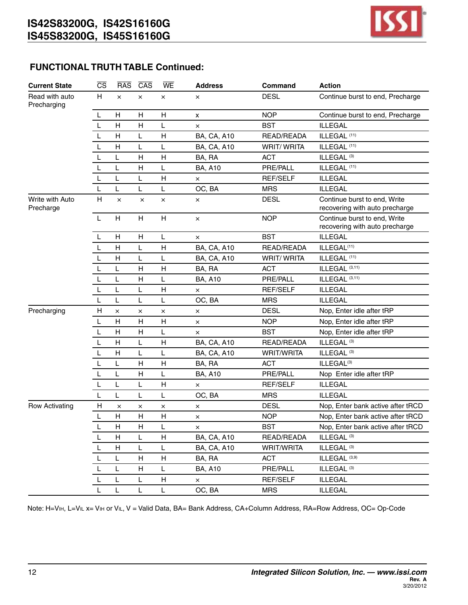

## **FUNCTIONAL TRUTH TABLE Continued:**

| <b>Current State</b>          | $\overline{\text{CS}}$ | <b>RAS</b>                | $\overline{CAS}$ | WE           | <b>Address</b>     | Command           | <b>Action</b>                                                  |
|-------------------------------|------------------------|---------------------------|------------------|--------------|--------------------|-------------------|----------------------------------------------------------------|
| Read with auto<br>Precharging | H                      | $\times$                  | ×                | ×            | $\times$           | <b>DESL</b>       | Continue burst to end, Precharge                               |
|                               | L                      | H                         | н                | H            | $\pmb{\mathsf{x}}$ | <b>NOP</b>        | Continue burst to end, Precharge                               |
|                               | L                      | $\mathsf H$               | Н                | L            | $\times$           | <b>BST</b>        | <b>ILLEGAL</b>                                                 |
|                               | L                      | H                         | L                | H            | <b>BA, CA, A10</b> | READ/READA        | ILLEGAL <sup>(11)</sup>                                        |
|                               | L                      | H                         | L                | L            | <b>BA, CA, A10</b> | <b>WRIT/WRITA</b> | ILLEGAL <sup>(11)</sup>                                        |
|                               | L                      | L                         | Н                | $\mathsf{H}$ | BA, RA             | <b>ACT</b>        | ILLEGAL <sup>(3)</sup>                                         |
|                               | L                      | L                         | Н                | L            | <b>BA, A10</b>     | PRE/PALL          | ILLEGAL <sup>(11)</sup>                                        |
|                               | L                      | L                         | Г                | Н            | $\times$           | <b>REF/SELF</b>   | <b>ILLEGAL</b>                                                 |
|                               | L                      | L                         | L                | L            | OC, BA             | <b>MRS</b>        | <b>ILLEGAL</b>                                                 |
| Write with Auto<br>Precharge  | H                      | $\times$                  | ×                | $\times$     | ×                  | <b>DESL</b>       | Continue burst to end, Write<br>recovering with auto precharge |
|                               | L                      | H                         | H                | H            | ×                  | <b>NOP</b>        | Continue burst to end, Write<br>recovering with auto precharge |
|                               | L                      | H                         | н                | L            | $\times$           | <b>BST</b>        | <b>ILLEGAL</b>                                                 |
|                               | L                      | $\mathsf H$               | L                | Н            | <b>BA, CA, A10</b> | READ/READA        | ILLEGAL <sup>(11)</sup>                                        |
|                               | L                      | H                         | L                | L            | <b>BA, CA, A10</b> | <b>WRIT/WRITA</b> | ILLEGAL <sup>(11)</sup>                                        |
|                               | L                      | L                         | Н                | H            | BA, RA             | <b>ACT</b>        | ILLEGAL (3,11)                                                 |
|                               | L                      | L                         | н                | L            | <b>BA, A10</b>     | PRE/PALL          | ILLEGAL (3,11)                                                 |
|                               | L                      | L                         | L                | Н            | $\times$           | <b>REF/SELF</b>   | <b>ILLEGAL</b>                                                 |
|                               | $\mathbf{L}$           | L                         | L                | L            | OC, BA             | <b>MRS</b>        | <b>ILLEGAL</b>                                                 |
| Precharging                   | Н                      | $\times$                  | ×                | $\times$     | $\times$           | <b>DESL</b>       | Nop, Enter idle after tRP                                      |
|                               | L                      | H                         | H                | Н            | ×                  | <b>NOP</b>        | Nop, Enter idle after tRP                                      |
|                               | L                      | $\mathsf H$               | Н                | L            | $\times$           | <b>BST</b>        | Nop, Enter idle after tRP                                      |
|                               | L                      | н                         | L                | н            | <b>BA, CA, A10</b> | READ/READA        | ILLEGAL <sup>(3)</sup>                                         |
|                               | L                      | H                         | L                | L            | <b>BA, CA, A10</b> | WRIT/WRITA        | ILLEGAL <sup>(3)</sup>                                         |
|                               | L                      | L                         | H                | $\mathsf{H}$ | BA, RA             | <b>ACT</b>        | ILLEGAL <sup>(3)</sup>                                         |
|                               | L                      | L                         | Н                | Г            | <b>BA, A10</b>     | PRE/PALL          | Nop Enter idle after tRP                                       |
|                               | L                      | L                         | Г                | H            | $\times$           | <b>REF/SELF</b>   | <b>ILLEGAL</b>                                                 |
|                               | L                      | L                         | L                | L            | OC, BA             | <b>MRS</b>        | <b>ILLEGAL</b>                                                 |
| <b>Row Activating</b>         | H                      | $\times$                  | ×                | ×            | ×                  | <b>DESL</b>       | Nop, Enter bank active after tRCD                              |
|                               | L                      | н                         | Н                | н            | ×                  | <b>NOP</b>        | Nop, Enter bank active after tRCD                              |
|                               | L                      | H                         | Н                | L            | $\times$           | <b>BST</b>        | Nop, Enter bank active after tRCD                              |
|                               |                        | $\boldsymbol{\mathsf{H}}$ | Г                | Н            | <b>BA, CA, A10</b> | READ/READA        | ILLEGAL <sup>(3)</sup>                                         |
|                               | L                      | Н                         | L                | L            | <b>BA, CA, A10</b> | WRIT/WRITA        | ILLEGAL <sup>(3)</sup>                                         |
|                               | L                      | Г                         | н                | н            | BA, RA             | <b>ACT</b>        | ILLEGAL (3,9)                                                  |
|                               |                        | L                         | н                | L            | <b>BA, A10</b>     | PRE/PALL          | ILLEGAL <sup>(3)</sup>                                         |
|                               | L                      | L                         | L                | H            | $\times$           | REF/SELF          | <b>ILLEGAL</b>                                                 |
|                               | L                      | L                         | L                | L            | OC, BA             | <b>MRS</b>        | <b>ILLEGAL</b>                                                 |

Note: H=Vih, L=Vil x= Vih or Vil, V = Valid Data, BA= Bank Address, CA+Column Address, RA=Row Address, OC= Op-Code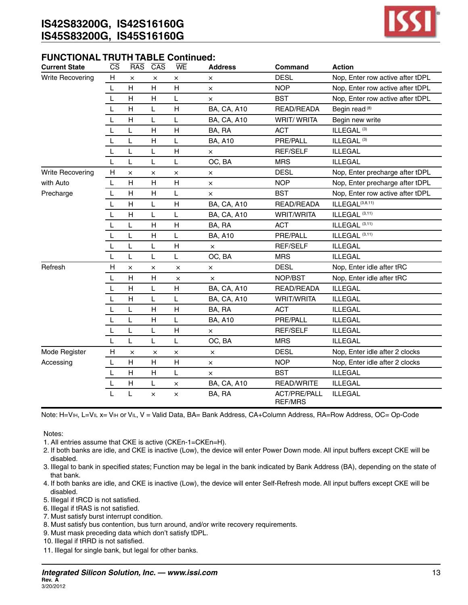

#### **FUNCTIONAL TRUTH TABLE Continued:**

| <b>Current State</b>    | $\overline{\text{CS}}$ | <b>RAS</b>   | $\overline{CAS}$ | WE           | <b>Address</b>     | Command                               | <b>Action</b>                    |
|-------------------------|------------------------|--------------|------------------|--------------|--------------------|---------------------------------------|----------------------------------|
| <b>Write Recovering</b> | H                      | $\times$     | $\times$         | ×            | ×                  | <b>DESL</b>                           | Nop, Enter row active after tDPL |
|                         | L                      | H            | H                | H            | $\times$           | <b>NOP</b>                            | Nop, Enter row active after tDPL |
|                         | L                      | H            | H                | L            | $\times$           | <b>BST</b>                            | Nop, Enter row active after tDPL |
|                         | L                      | Н            | L                | H            | <b>BA, CA, A10</b> | READ/READA                            | Begin read <sup>(8)</sup>        |
|                         | L                      | H            | L                | L            | <b>BA, CA, A10</b> | <b>WRIT/WRITA</b>                     | Begin new write                  |
|                         | L                      | L            | H                | H            | BA, RA             | <b>ACT</b>                            | ILLEGAL <sup>(3)</sup>           |
|                         | L                      | L            | Н                | L            | <b>BA, A10</b>     | PRE/PALL                              | ILLEGAL <sup>(3)</sup>           |
|                         | L                      | L            | L                | н            | ×                  | <b>REF/SELF</b>                       | <b>ILLEGAL</b>                   |
|                         | L                      | L            | L                | L            | OC, BA             | <b>MRS</b>                            | <b>ILLEGAL</b>                   |
| Write Recovering        | H                      | ×            | ×                | ×            | $\times$           | <b>DESL</b>                           | Nop, Enter precharge after tDPL  |
| with Auto               | L                      | H            | H                | H            | $\times$           | <b>NOP</b>                            | Nop, Enter precharge after tDPL  |
| Precharge               | L                      | $\mathsf{H}$ | H                | L            | ×                  | <b>BST</b>                            | Nop, Enter row active after tDPL |
|                         | L                      | H            | L                | H            | <b>BA, CA, A10</b> | READ/READA                            | ILLEGAL(3,8,11)                  |
|                         | L                      | $\mathsf{H}$ | L                | L            | <b>BA, CA, A10</b> | <b>WRIT/WRITA</b>                     | ILLEGAL (3,11)                   |
|                         | L                      | L            | н                | н            | BA, RA             | <b>ACT</b>                            | ILLEGAL (3,11)                   |
|                         | L                      | L            | H                | L            | <b>BA, A10</b>     | PRE/PALL                              | ILLEGAL <sup>(3,11)</sup>        |
|                         | L                      | L            | L                | H            | ×                  | <b>REF/SELF</b>                       | <b>ILLEGAL</b>                   |
|                         | L                      | L            | L                | L            | OC, BA             | <b>MRS</b>                            | <b>ILLEGAL</b>                   |
| Refresh                 | H                      | $\times$     | ×                | $\times$     | $\times$           | <b>DESL</b>                           | Nop, Enter idle after tRC        |
|                         | L                      | H            | H                | $\times$     | $\times$           | NOP/BST                               | Nop, Enter idle after tRC        |
|                         | L                      | H            | L                | H            | <b>BA, CA, A10</b> | READ/READA                            | <b>ILLEGAL</b>                   |
|                         | L                      | $\mathsf{H}$ | L                | L            | <b>BA, CA, A10</b> | <b>WRIT/WRITA</b>                     | <b>ILLEGAL</b>                   |
|                         | L                      | L            | Н                | H            | BA, RA             | <b>ACT</b>                            | <b>ILLEGAL</b>                   |
|                         | L                      | L            | H                | Г            | <b>BA, A10</b>     | PRE/PALL                              | <b>ILLEGAL</b>                   |
|                         | L                      | L            | L                | $\mathsf{H}$ | $\times$           | <b>REF/SELF</b>                       | <b>ILLEGAL</b>                   |
|                         | L                      | L            | L                | L            | OC, BA             | <b>MRS</b>                            | <b>ILLEGAL</b>                   |
| Mode Register           | Н                      | ×            | $\times$         | $\times$     | ×                  | <b>DESL</b>                           | Nop, Enter idle after 2 clocks   |
| Accessing               | L                      | н            | н                | н            | $\times$           | <b>NOP</b>                            | Nop, Enter idle after 2 clocks   |
|                         | L                      | H            | H                | L            | $\times$           | <b>BST</b>                            | <b>ILLEGAL</b>                   |
|                         | L                      | $\mathsf{H}$ | L                | $\times$     | <b>BA, CA, A10</b> | <b>READ/WRITE</b>                     | <b>ILLEGAL</b>                   |
|                         | L                      | L            | ×                | ×            | BA, RA             | <b>ACT/PRE/PALL</b><br><b>REF/MRS</b> | <b>ILLEGAL</b>                   |

Note: H=ViH, L=ViL x= ViH or ViL, V = Valid Data, BA= Bank Address, CA+Column Address, RA=Row Address, OC= Op-Code

- 1. All entries assume that CKE is active (CKEn-1=CKEn=H).
- 2. If both banks are idle, and CKE is inactive (Low), the device will enter Power Down mode. All input buffers except CKE will be disabled.
- 3. Illegal to bank in specified states; Function may be legal in the bank indicated by Bank Address (BA), depending on the state of that bank.
- 4. If both banks are idle, and CKE is inactive (Low), the device will enter Self-Refresh mode. All input buffers except CKE will be disabled.
- 5. Illegal if tRCD is not satisfied.
- 6. Illegal if tRAS is not satisfied.
- 7. Must satisfy burst interrupt condition.
- 8. Must satisfy bus contention, bus turn around, and/or write recovery requirements.
- 9. Must mask preceding data which don't satisfy tDPL.
- 10. Illegal if tRRD is not satisfied.
- 11. Illegal for single bank, but legal for other banks.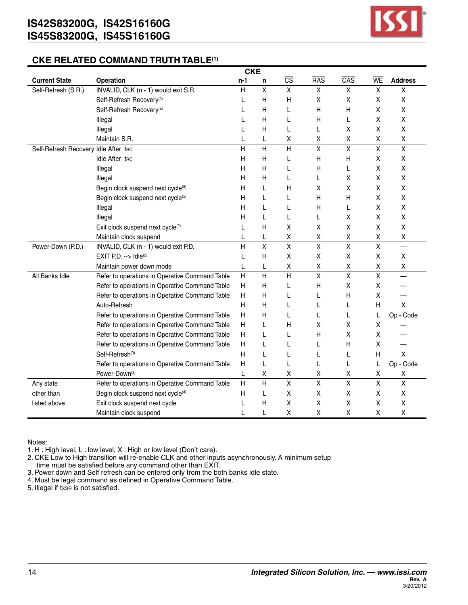

#### **CKE RELATED COMMAND TRUTH TABLE(1)**

|                                      |                                                | <b>CKE</b>   |                         |                         |                         |                    |                         |                         |
|--------------------------------------|------------------------------------------------|--------------|-------------------------|-------------------------|-------------------------|--------------------|-------------------------|-------------------------|
| <b>Current State</b>                 | <b>Operation</b>                               | $n-1$        | n                       | $\overline{\text{CS}}$  | <b>RAS</b>              | $\overline{CAS}$   | WE                      | <b>Address</b>          |
| Self-Refresh (S.R.)                  | INVALID, CLK (n - 1) would exit S.R.           | H            | $\overline{\mathsf{x}}$ | $\overline{X}$          | X                       | X                  | $\overline{\mathsf{x}}$ | Χ                       |
|                                      | Self-Refresh Recovery <sup>(2)</sup>           | L            | H                       | Н                       | X                       | Χ                  | X                       | X                       |
|                                      | Self-Refresh Recovery <sup>(2)</sup>           | L            | Н                       | L                       | Н                       | Н                  | X                       | X                       |
|                                      | Illegal                                        |              | н                       | L                       | Н                       | L                  | X                       | X                       |
|                                      | Illegal                                        | L            | Н                       | L                       | L                       | Χ                  | Χ                       | Χ                       |
|                                      | Maintain S.R.                                  | L            | L                       | Χ                       | Χ                       | Χ                  | $\pmb{\mathsf{X}}$      | Χ                       |
| Self-Refresh Recovery Idle After tnc |                                                | H            | H                       | H                       | X                       | $\mathsf{X}$       | $\overline{\mathsf{x}}$ | $\mathsf{X}$            |
|                                      | <b>Idle After the</b>                          | Н            | Η                       | L                       | Н                       | н                  | Χ                       | X                       |
|                                      | Illegal                                        | н            | Н                       | L                       | Н                       | L                  | Χ                       | X                       |
|                                      | Illegal                                        | н            | н                       | L                       | L                       | X                  | х                       | X                       |
|                                      | Begin clock suspend next cycle(5)              | Н            | L                       | Н                       | Χ                       | Χ                  | Χ                       | X                       |
|                                      | Begin clock suspend next cycle(5)              | н            | L                       | L                       | Н                       | Н                  | X                       | X                       |
|                                      | Illegal                                        | н            | L                       | L                       | Н                       | L                  | X                       | X                       |
|                                      | Illegal                                        | н            | L                       | L                       | L                       | X                  | Χ                       | X                       |
|                                      | Exit clock suspend next cycle <sup>(2)</sup>   | L            | Н                       | Χ                       | χ                       | Χ                  | Χ                       | Χ                       |
|                                      | Maintain clock suspend                         | L            | L                       | Χ                       | Χ                       | Χ                  | Χ                       | $\pmb{\mathsf{X}}$      |
| Power-Down (P.D.)                    | INVALID, CLK (n - 1) would exit P.D.           | $\mathsf{H}$ | $\pmb{\mathsf{X}}$      | $\overline{\mathsf{x}}$ | X                       | $\pmb{\mathsf{X}}$ | $\overline{\mathsf{x}}$ |                         |
|                                      | EXIT P.D. $\rightarrow$ Idle(2)                | L            | H                       | X                       | Χ                       | Χ                  | X                       | X                       |
|                                      | Maintain power down mode                       | L            | L                       | Χ                       | Χ                       | Χ                  | Χ                       | Χ                       |
| All Banks Idle                       | Refer to operations in Operative Command Table | H            | $\overline{H}$          | $\overline{H}$          | $\pmb{\mathsf{X}}$      | $\pmb{\mathsf{X}}$ | $\overline{\mathsf{x}}$ | —                       |
|                                      | Refer to operations in Operative Command Table | H            | Н                       | L                       | Η                       | Χ                  | Χ                       |                         |
|                                      | Refer to operations in Operative Command Table | H            | Н                       | L                       | L                       | Н                  | X                       |                         |
|                                      | Auto-Refresh                                   | H            | н                       | L                       | L                       | L                  | Η                       | X                       |
|                                      | Refer to operations in Operative Command Table | H            | н                       | L                       | L                       | L                  | L                       | Op - Code               |
|                                      | Refer to operations in Operative Command Table | H            | L                       | н                       | Χ                       | Χ                  | $\pmb{\mathsf{X}}$      |                         |
|                                      | Refer to operations in Operative Command Table | H            | L                       | L                       | Н                       | Χ                  | Χ                       |                         |
|                                      | Refer to operations in Operative Command Table | H            | L                       | L                       | L                       | Н                  | Χ                       |                         |
|                                      | Self-Refresh <sup>(3)</sup>                    | H            | L                       | L                       | L                       | L                  | H                       | X                       |
|                                      | Refer to operations in Operative Command Table | H            | L                       | L                       | L                       | L                  | L                       | Op - Code               |
|                                      | Power-Down(3)                                  | L            | Χ                       | Χ                       | Χ                       | Χ                  | Χ                       | х                       |
| Any state                            | Refer to operations in Operative Command Table | H            | $\overline{H}$          | $\overline{\mathsf{x}}$ | $\overline{\mathsf{x}}$ | $\pmb{\chi}$       | $\overline{\mathsf{x}}$ | $\overline{\mathsf{x}}$ |
| other than                           | Begin clock suspend next cycle <sup>(4)</sup>  | H            | L                       | Χ                       | X                       | Χ                  | Χ                       | X                       |
| listed above                         | Exit clock suspend next cycle                  | L            | Н                       | X                       | Χ                       | Χ                  | X                       | Χ                       |
|                                      | Maintain clock suspend                         | L            | L                       | X                       | X                       | X                  | X                       | X                       |

Notes:

1. H : High level, L : low level, X : High or low level (Don't care).

2. CKE Low to High transition will re-enable CLK and other inputs asynchronously. A minimum setup

time must be satisfied before any command other than EXIT.

3. Power down and Self refresh can be entered only from the both banks idle state. 4. Must be legal command as defined in Operative Command Table.

5. Illegal if txsn is not satisfied.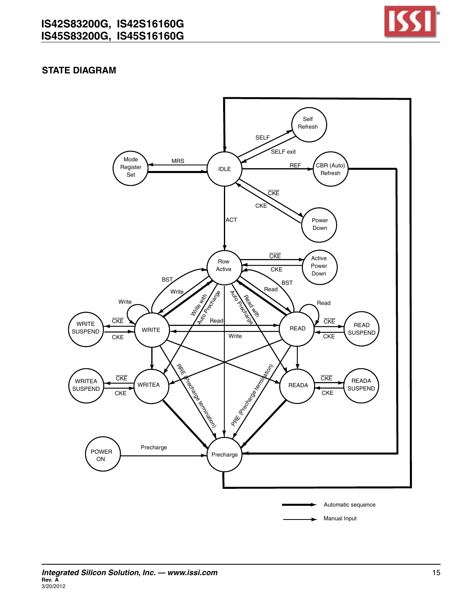

## **STATE DIAGRAM**

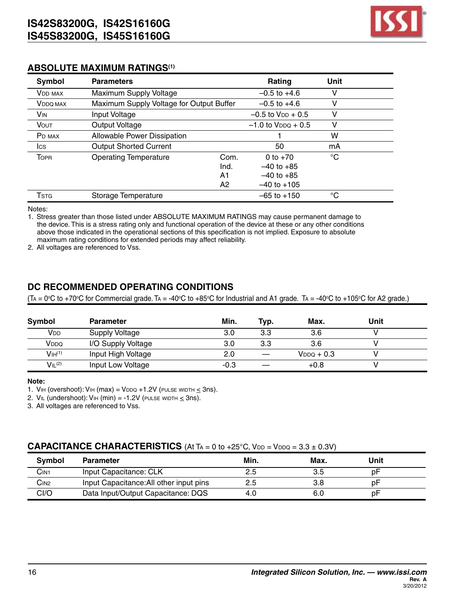

#### **ABSOLUTE MAXIMUM RATINGS(1)**

| Symbol                      | <b>Parameters</b>                        |      | Rating                    | Unit        |  |
|-----------------------------|------------------------------------------|------|---------------------------|-------------|--|
| <b>VDD MAX</b>              | Maximum Supply Voltage                   |      | $-0.5$ to $+4.6$          | v           |  |
| <b>V</b> <sub>DDQ</sub> MAX | Maximum Supply Voltage for Output Buffer |      | $-0.5$ to $+4.6$          | v           |  |
| VIN                         | Input Voltage                            |      | $-0.5$ to $V_{DD} + 0.5$  | v           |  |
| <b>VOUT</b>                 | Output Voltage                           |      | $-1.0$ to $V_{DDO} + 0.5$ | v           |  |
| P <sub>D</sub> MAX          | Allowable Power Dissipation              |      |                           | w           |  |
| Ics                         | <b>Output Shorted Current</b>            |      | 50                        | mA          |  |
| <b>TOPR</b>                 | <b>Operating Temperature</b>             | Com. | 0 to $+70$                | $^{\circ}C$ |  |
|                             | Ind.                                     |      | $-40$ to $+85$            |             |  |
|                             | A1                                       |      | $-40$ to $+85$            |             |  |
|                             | A2                                       |      | $-40$ to $+105$           |             |  |
| Tstg                        | Storage Temperature                      |      | $-65$ to $+150$           | °C          |  |

Notes:

1. Stress greater than those listed under ABSOLUTE MAXIMUM RATINGS may cause permanent damage to the device. This is a stress rating only and functional operation of the device at these or any other conditions above those indicated in the operational sections of this specification is not implied. Exposure to absolute maximum rating conditions for extended periods may affect reliability.

2. All voltages are referenced to Vss.

# **DC RECOMMENDED OPERATING CONDITIONS**

(Tʌ = 0℃ to +70℃ for Commercial grade. Tʌ = -40℃ to +85℃ for Industrial and A1 grade. Tʌ = -40℃ to +105℃ for A2 grade.)

| Symbol                         | <b>Parameter</b>      | Min.   | Typ. | Max.            | Unit |  |
|--------------------------------|-----------------------|--------|------|-----------------|------|--|
| V <sub>DD</sub>                | <b>Supply Voltage</b> | 3.0    | 3.3  | 3.6             |      |  |
| VDDQ                           | I/O Supply Voltage    | 3.0    | 3.3  | 3.6             |      |  |
| V <sub>IH</sub> <sup>(1)</sup> | Input High Voltage    | 2.0    |      | $V_{DDQ} + 0.3$ |      |  |
| VIL <sup>(2)</sup>             | Input Low Voltage     | $-0.3$ |      | $+0.8$          |      |  |

#### **Note:**

1. VIH (overshoot): VIH (max) = VDDQ +1.2V (PULSE WIDTH  $\leq$  3ns).

2. V<sub>IL</sub> (undershoot): V<sub>IH</sub> (min) = -1.2V (PULSE WIDTH  $\leq$  3ns).

3. All voltages are referenced to Vss.

#### **CAPACITANCE CHARACTERISTICS** (At  $TA = 0$  to  $+25^{\circ}$ C,  $V_{DD} = V_{DDQ} = 3.3 \pm 0.3V$ )

| Symbol           | <b>Parameter</b>                        | Min. | Max. | Unit |  |
|------------------|-----------------------------------------|------|------|------|--|
| CIN <sub>1</sub> | Input Capacitance: CLK                  | 2.5  | 3.5  | рF   |  |
| C <sub>IN2</sub> | Input Capacitance: All other input pins | 2.5  | 3.8  | рF   |  |
| CI/O             | Data Input/Output Capacitance: DQS      | 4.0  | 6.0  | рF   |  |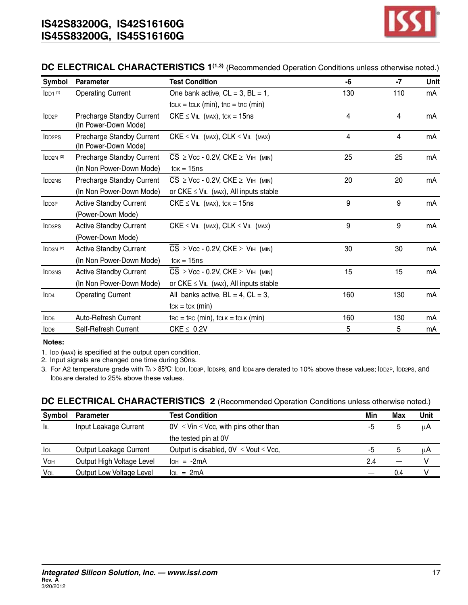

#### **DC ELECTRICAL CHARACTERISTICS 1(1,3)** (Recommended Operation Conditions unless otherwise noted.)

| <b>Symbol</b>        | <b>Parameter</b>                                  | <b>Test Condition</b>                                               | -6  | $-7$ | Unit |
|----------------------|---------------------------------------------------|---------------------------------------------------------------------|-----|------|------|
| LD1 <sup>(1)</sup>   | <b>Operating Current</b>                          | One bank active, $CL = 3$ , $BL = 1$ ,                              | 130 | 110  | mA   |
|                      |                                                   | $t_{CLK} = t_{CLK}$ (min), $t_{RC} = t_{RC}$ (min)                  |     |      |      |
| IDD <sub>2P</sub>    | Precharge Standby Current<br>(In Power-Down Mode) | CKE $\leq$ V <sub>IL</sub> (MAX), tck = 15ns                        | 4   | 4    | mA   |
| <b>IDD2PS</b>        | Precharge Standby Current<br>(In Power-Down Mode) | $CKE \leq VIL$ (MAX), $CLK \leq VIL$ (MAX)                          | 4   | 4    | mA   |
| IDD2N <sup>(2)</sup> | Precharge Standby Current                         | $\overline{CS}$ $\geq$ Vcc - 0.2V, CKE $\geq$ V <sub>IH</sub> (MIN) | 25  | 25   | mA   |
|                      | (In Non Power-Down Mode)                          | $tcK = 15ns$                                                        |     |      |      |
| DD <sub>2NS</sub>    | Precharge Standby Current                         | $\overline{CS}$ $\geq$ Vcc - 0.2V, CKE $\geq$ V <sub>IH</sub> (MIN) | 20  | 20   | mA   |
|                      | (In Non Power-Down Mode)                          | or $CKE \leq V_{IL}$ (MAX), All inputs stable                       |     |      |      |
| <b>IDD3P</b>         | <b>Active Standby Current</b>                     | CKE $\leq$ V <sub>IL</sub> (MAX), tck = 15ns                        | 9   | 9    | mA   |
|                      | (Power-Down Mode)                                 |                                                                     |     |      |      |
| <b>IDD3PS</b>        | <b>Active Standby Current</b>                     | $CKE \leq VIL$ (MAX), $CLK \leq VIL$ (MAX)                          | 9   | 9    | mA   |
|                      | (Power-Down Mode)                                 |                                                                     |     |      |      |
| IDD3N <sup>(2)</sup> | <b>Active Standby Current</b>                     | $\overline{CS}$ $\geq$ Vcc - 0.2V, CKE $\geq$ V <sub>IH</sub> (MIN) | 30  | 30   | mA   |
|                      | (In Non Power-Down Mode)                          | $tck = 15ns$                                                        |     |      |      |
| <b>IDD3NS</b>        | <b>Active Standby Current</b>                     | $CS \geq Vcc - 0.2V$ , $CKE \geq VHH$ (MIN)                         | 15  | 15   | mA   |
|                      | (In Non Power-Down Mode)                          | or $CKE \leq V_{IL}$ (MAX), All inputs stable                       |     |      |      |
| IDD4                 | <b>Operating Current</b>                          | All banks active, $BL = 4$ , $CL = 3$ ,                             | 160 | 130  | mA   |
|                      |                                                   | $tcK = tcK$ (min)                                                   |     |      |      |
| $\mathsf{IDD5}$      | Auto-Refresh Current                              | $\text{trc} = \text{trc}$ (min), $\text{tcLK} = \text{tcLK}$ (min)  | 160 | 130  | mA   |
| IDD6                 | Self-Refresh Current                              | $CKE \leq 0.2V$                                                     | 5   | 5    | mA   |

**Notes:**

1. IDD (MAX) is specified at the output open condition.

2. Input signals are changed one time during 30ns.

3. For A2 temperature grade with Ta > 85°C: IbD1, IbD3P, IbD3PS, and IbD4 are derated to 10% above these values; IbD2P, IbD2PS, and IDD6 are derated to 25% above these values.

#### **DC ELECTRICAL CHARACTERISTICS 2** (Recommended Operation Conditions unless otherwise noted.)

| <b>Symbol</b> | <b>Parameter</b>          | <b>Test Condition</b>                            | Min | <b>Max</b> | Unit |
|---------------|---------------------------|--------------------------------------------------|-----|------------|------|
| ÌЩ            | Input Leakage Current     | $0V \leq V$ in $\leq V$ cc, with pins other than | -5  |            | μA   |
|               |                           | the tested pin at OV                             |     |            |      |
| lol           | Output Leakage Current    | Output is disabled, $0V \leq$ Vout $\leq$ Vcc,   | -5  |            | μA   |
| VOH           | Output High Voltage Level | $I$ <sub>OH</sub> = $-2mA$                       | 2.4 |            | v    |
| VOL           | Output Low Voltage Level  | $IOL = 2mA$                                      |     | 0.4        |      |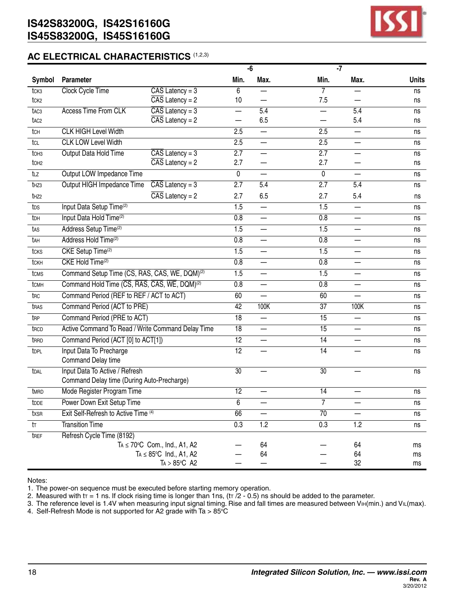

## **AC ELECTRICAL CHARACTERISTICS** (1,2,3)

|                  |                                                           |                                         |                  | $-\overline{6}$          |                  | $-7$                     |              |
|------------------|-----------------------------------------------------------|-----------------------------------------|------------------|--------------------------|------------------|--------------------------|--------------|
| Symbol           | Parameter                                                 |                                         | Min.             | Max.                     | Min.             | Max.                     | <b>Units</b> |
| tck <sub>3</sub> | Clock Cycle Time                                          | $\overline{CAS}$ Latency = 3            | 6                |                          | $\overline{7}$   |                          | ns           |
| tck <sub>2</sub> |                                                           | $\overline{CAS}$ Latency = 2            | 10               |                          | 7.5              |                          | ns           |
| t <sub>AC3</sub> | <b>Access Time From CLK</b>                               | $\overline{CAS}$ Latency = 3            |                  | $\overline{5.4}$         |                  | $\overline{5.4}$         | ns           |
| t <sub>AC2</sub> |                                                           | $\overline{CAS}$ Latency = 2            |                  | 6.5                      |                  | 5.4                      | ns           |
| tch              | <b>CLK HIGH Level Width</b>                               |                                         | 2.5              |                          | 2.5              | $\overline{\phantom{0}}$ | ns           |
| tcl              | <b>CLK LOW Level Width</b>                                |                                         | 2.5              | —                        | 2.5              | $\overline{\phantom{0}}$ | ns           |
| t <sub>OH3</sub> | Output Data Hold Time                                     | $\overline{CAS}$ Latency = 3            | $\overline{2.7}$ | —                        | $\overline{2.7}$ |                          | ns           |
| to <sub>H2</sub> |                                                           | $\overline{CAS}$ Latency = 2            | 2.7              | —                        | 2.7              |                          | ns           |
| tız              | Output LOW Impedance Time                                 |                                         | $\overline{0}$   |                          | $\overline{0}$   |                          | ns           |
| t <sub>HZ3</sub> | Output HIGH Impedance Time                                | $\overline{CAS}$ Latency = 3            | 2.7              | 5.4                      | 2.7              | 5.4                      | ns           |
| t <sub>HZ2</sub> |                                                           | $\overline{CAS}$ Latency = 2            | 2.7              | 6.5                      | 2.7              | 5.4                      | ns           |
| tos              | Input Data Setup Time <sup>(2)</sup>                      |                                         | $\overline{1.5}$ | —                        | 1.5              |                          | ns           |
| tDH              | Input Data Hold Time <sup>(2)</sup>                       |                                         | 0.8              | $\overline{\phantom{0}}$ | 0.8              |                          | ns           |
| tas              | Address Setup Time <sup>(2)</sup>                         |                                         | 1.5              | $\overline{\phantom{0}}$ | 1.5              |                          | ns           |
| tAH              | Address Hold Time <sup>(2)</sup>                          |                                         | 0.8              | —                        | 0.8              |                          | ns           |
| tcks             | CKE Setup Time <sup>(2)</sup>                             |                                         | $\overline{1.5}$ |                          | $\overline{1.5}$ |                          | ns           |
| tckh             | CKE Hold Time(2)                                          |                                         | 0.8              | —                        | 0.8              |                          | ns           |
| tcms             | Command Setup Time (CS, RAS, CAS, WE, DQM) <sup>(2)</sup> |                                         | $\overline{1.5}$ | $\overline{\phantom{0}}$ | 1.5              | $\equiv$                 | ns           |
| tcmH             | Command Hold Time (CS, RAS, CAS, WE, DQM) <sup>(2)</sup>  |                                         | 0.8              | —                        | 0.8              | —                        | ns           |
| trc              | Command Period (REF to REF / ACT to ACT)                  |                                         | 60               |                          | 60               |                          | ns           |
| tras             | Command Period (ACT to PRE)                               |                                         | $\overline{42}$  | 100K                     | $\overline{37}$  | 100K                     | ns           |
| t <sub>RP</sub>  | Command Period (PRE to ACT)                               |                                         | 18               | —                        | 15               | —                        | ns           |
| t <sub>RCD</sub> | Active Command To Read / Write Command Delay Time         |                                         | $\overline{18}$  | $\overline{\phantom{0}}$ | $\overline{15}$  |                          | ns           |
| trad             | Command Period (ACT [0] to ACT[1])                        |                                         | $\overline{12}$  | $\overline{\phantom{0}}$ | $\overline{14}$  |                          | ns           |
| tDPL             | Input Data To Precharge                                   |                                         | $\overline{12}$  |                          | $\overline{14}$  |                          | ns           |
|                  | Command Delay time                                        |                                         |                  |                          |                  |                          |              |
| tdal             | Input Data To Active / Refresh                            |                                         | $\overline{30}$  |                          | $\overline{30}$  |                          | ns           |
|                  | Command Delay time (During Auto-Precharge)                |                                         |                  |                          |                  |                          |              |
| tMRD             | Mode Register Program Time                                |                                         | $\overline{12}$  |                          | $\overline{14}$  |                          | ns           |
| t <sub>DDE</sub> | Power Down Exit Setup Time                                |                                         | $\overline{6}$   |                          | $\overline{7}$   |                          | ns           |
| txsR             | Exit Self-Refresh to Active Time (4)                      |                                         | 66               | —                        | 70               |                          | ns           |
| tr               | <b>Transition Time</b>                                    |                                         | $\overline{0.3}$ | $\overline{1.2}$         | 0.3              | $\overline{1.2}$         | ns           |
| tref             | Refresh Cycle Time (8192)                                 |                                         |                  |                          |                  |                          |              |
|                  |                                                           | $Ta \le 70^{\circ}C$ Com., Ind., A1, A2 |                  | 64                       |                  | 64                       | ms           |
|                  |                                                           | $Ta \leq 85^{\circ}C$ Ind., A1, A2      |                  | 64                       |                  | 64                       | ms           |
|                  |                                                           | $Ta > 85^{\circ}C$ A2                   |                  |                          |                  | 32                       | ms           |

Notes:

1. The power-on sequence must be executed before starting memory operation.

2. Measured with  $tr = 1$  ns. If clock rising time is longer than 1ns, ( $tr /2 - 0.5$ ) ns should be added to the parameter.

3. The reference level is 1.4V when measuring input signal timing. Rise and fall times are measured between VIH(min.) and VIL(max).

4. Self-Refresh Mode is not supported for A2 grade with Ta  $>85^{\circ}$ C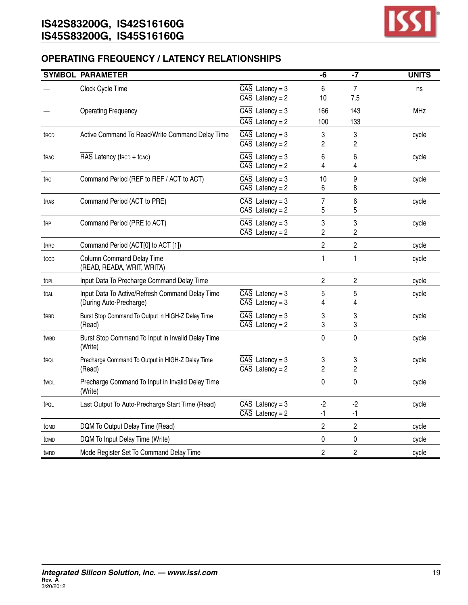

# **OPERATING FREQUENCY / LATENCY RELATIONSHIPS**

|                  | <b>SYMBOL PARAMETER</b>                                                    |                                                              | -6             | $-7$           | <b>UNITS</b> |
|------------------|----------------------------------------------------------------------------|--------------------------------------------------------------|----------------|----------------|--------------|
|                  | Clock Cycle Time                                                           | $\overline{CAS}$ Latency = 3<br>$\overline{CAS}$ Latency = 2 | 6<br>10        | 7<br>7.5       | ns           |
|                  | <b>Operating Frequency</b>                                                 | $\overline{CAS}$ Latency = 3<br>$\overline{CAS}$ Latency = 2 | 166<br>100     | 143<br>133     | MHz          |
| t <sub>RCD</sub> | Active Command To Read/Write Command Delay Time                            | $\overline{CAS}$ Latency = 3<br>$\overline{CAS}$ Latency = 2 | 3<br>2         | 3<br>2         | cycle        |
| t <sub>RAC</sub> | RAS Latency (trcp + tcac)                                                  | $\overline{CAS}$ Latency = 3<br>$\overline{CAS}$ Latency = 2 | 6<br>4         | 6<br>4         | cycle        |
| t <sub>RC</sub>  | Command Period (REF to REF / ACT to ACT)                                   | $\overline{CAS}$ Latency = 3<br>$\overline{CAS}$ Latency = 2 | 10<br>6        | 9<br>8         | cycle        |
| tras             | Command Period (ACT to PRE)                                                | $\overline{CAS}$ Latency = 3<br>$\overline{CAS}$ Latency = 2 | 7<br>5         | 6<br>5         | cycle        |
| t <sub>RP</sub>  | Command Period (PRE to ACT)                                                | $\overline{CAS}$ Latency = 3<br>$\overline{CAS}$ Latency = 2 | 3<br>2         | 3<br>2         | cycle        |
| t <sub>RRD</sub> | Command Period (ACT[0] to ACT [1])                                         |                                                              | 2              | 2              | cycle        |
| tccp             | <b>Column Command Delay Time</b><br>(READ, READA, WRIT, WRITA)             |                                                              | 1              | 1              | cycle        |
| tDPL             | Input Data To Precharge Command Delay Time                                 |                                                              | $\overline{c}$ | $\overline{c}$ | cycle        |
| tdal             | Input Data To Active/Refresh Command Delay Time<br>(During Auto-Precharge) | $\overline{CAS}$ Latency = 3<br>$\overline{CAS}$ Latency = 3 | 5<br>4         | 5<br>4         | cycle        |
| t <sub>RBD</sub> | Burst Stop Command To Output in HIGH-Z Delay Time<br>(Read)                | $\overline{CAS}$ Latency = 3<br>$\overline{CAS}$ Latency = 2 | 3<br>3         | 3<br>3         | cycle        |
| twbd             | Burst Stop Command To Input in Invalid Delay Time<br>(Write)               |                                                              | 0              | $\pmb{0}$      | cycle        |
| trol             | Precharge Command To Output in HIGH-Z Delay Time<br>(Read)                 | $\overline{CAS}$ Latency = 3<br>$\overline{CAS}$ Latency = 2 | 3<br>2         | 3<br>2         | cycle        |
| twpl             | Precharge Command To Input in Invalid Delay Time<br>(Write)                |                                                              | 0              | 0              | cycle        |
| t <sub>PQL</sub> | Last Output To Auto-Precharge Start Time (Read)                            | $\overline{CAS}$ Latency = 3<br>$\overline{CAS}$ Latency = 2 | -2<br>-1       | -2<br>-1       | cycle        |
| tomp             | DQM To Output Delay Time (Read)                                            |                                                              | $\overline{c}$ | $\overline{2}$ | cycle        |
| t <sub>DMD</sub> | DQM To Input Delay Time (Write)                                            |                                                              | 0              | 0              | cycle        |
| tmrd             | Mode Register Set To Command Delay Time                                    |                                                              | 2              | $\overline{c}$ | cycle        |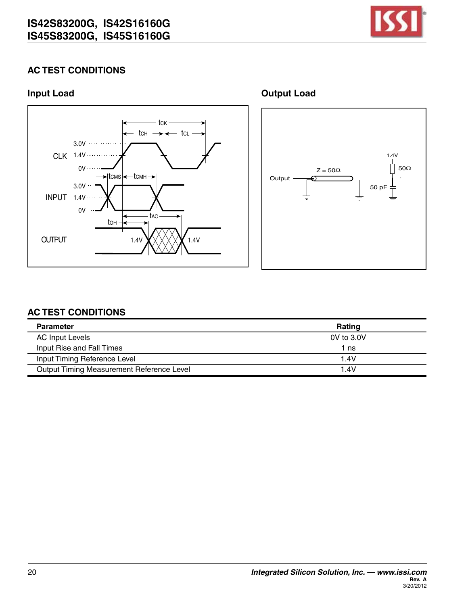

# **AC TEST CONDITIONS**



**Input Load CONSUMING CONSUMING CONSUMING CONSUMING CONSUMING CONSUMING CONSUMING CONSUMING CONSUMING CONSUMING CONSUMING CONSUMING CONSUMING CONSUMING CONSUMING CONSUMING CONSUMING CONSUMING CONSUMING CONSUMING CONSUMIN** 



# **AC TEST CONDITIONS**

| <b>Parameter</b>                          | Rating         |
|-------------------------------------------|----------------|
| <b>AC Input Levels</b>                    | $0V$ to $3.0V$ |
| Input Rise and Fall Times                 | 1 ns           |
| Input Timing Reference Level              | 1.4V           |
| Output Timing Measurement Reference Level | 1.4V           |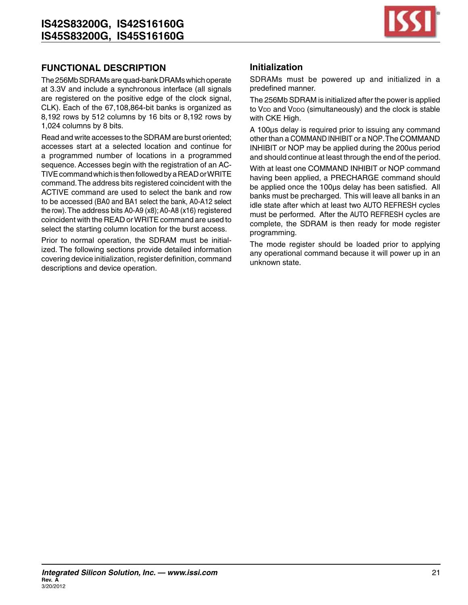

# **FUNCTIONAL DESCRIPTION**

The 256Mb SDRAMs are quad-bank DRAMs which operate at 3.3V and include a synchronous interface (all signals are registered on the positive edge of the clock signal, CLK). Each of the 67,108,864-bit banks is organized as 8,192 rows by 512 columns by 16 bits or 8,192 rows by 1,024 columns by 8 bits.

Read and write accesses to the SDRAM are burst oriented; accesses start at a selected location and continue for a programmed number of locations in a programmed sequence. Accesses begin with the registration of an AC-TIVE command which is then followed by a READ or WRITE command.The address bits registered coincident with the ACTIVE command are used to select the bank and row to be accessed (BA0 and BA1 select the bank, A0-A12 select the row). The address bits A0-A9 (x8); A0-A8 (x16) registered coincident with the READ orWRITE command are used to select the starting column location for the burst access.

Prior to normal operation, the SDRAM must be initialized. The following sections provide detailed information covering device initialization, register definition, command descriptions and device operation.

## **Initialization**

SDRAMs must be powered up and initialized in a predefined manner.

The 256Mb SDRAM is initialized after the power is applied to V<sub>DD</sub> and V<sub>DDQ</sub> (simultaneously) and the clock is stable with CKE High.

A 100µs delay is required prior to issuing any command other than a COMMAND INHIBIT or a NOP.The COMMAND INHIBIT or NOP may be applied during the 200us period and should continue at least through the end of the period.

With at least one COMMAND INHIBIT or NOP command having been applied, a PRECHARGE command should be applied once the 100µs delay has been satisfied. All banks must be precharged. This will leave all banks in an idle state after which at least two AUTO REFRESH cycles must be performed. After the AUTO REFRESH cycles are complete, the SDRAM is then ready for mode register programming.

The mode register should be loaded prior to applying any operational command because it will power up in an unknown state.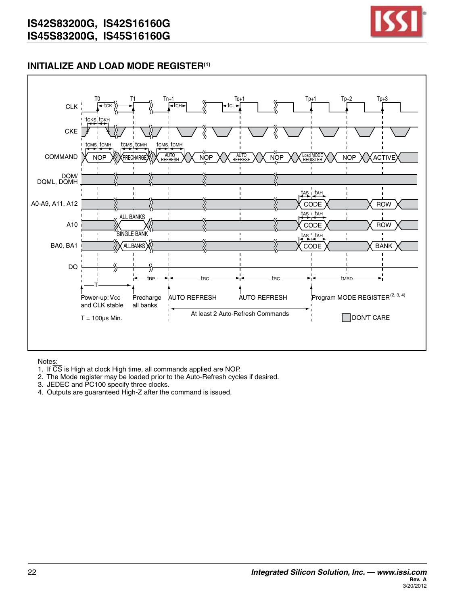

## **INITIALIZE AND LOAD MODE REGISTER(1)**



- 1. If CS is High at clock High time, all commands applied are NOP.
- 2. The Mode register may be loaded prior to the Auto-Refresh cycles if desired.
- 3. JEDEC and PC100 specify three clocks.
- 4. Outputs are guaranteed High-Z after the command is issued.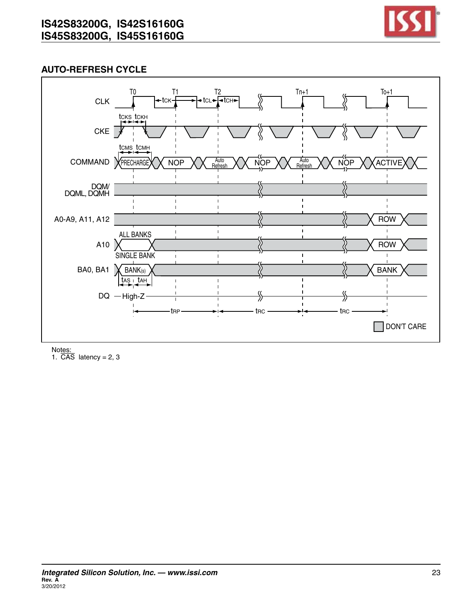

# **Auto-Refresh Cycle**



Notes:

1.  $\overline{CAS}$  latency = 2, 3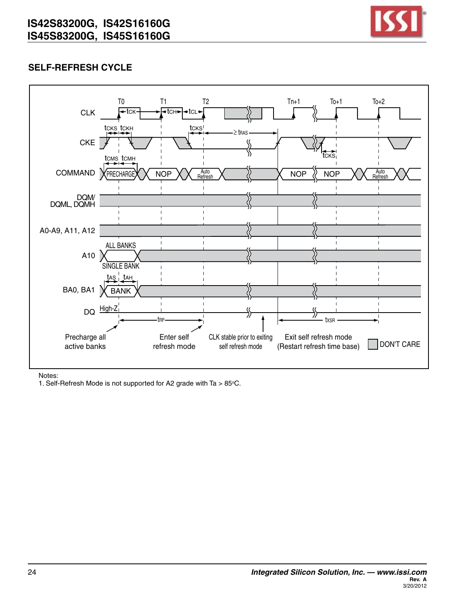

# **Self-Refresh Cycle**



Notes:

1. Self-Refresh Mode is not supported for A2 grade with Ta  $> 85^{\circ}$ C.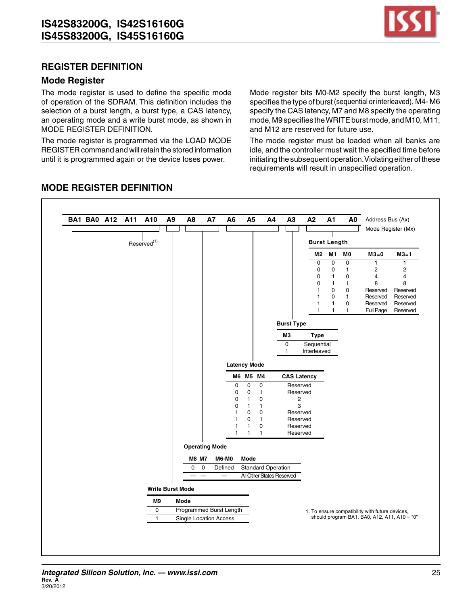

## **Register Definition**

#### **Mode Register**

The mode register is used to define the specific mode of operation of the SDRAM. This definition includes the selection of a burst length, a burst type, a CAS latency, an operating mode and a write burst mode, as shown in MODE REGISTER DEFINITION.

The mode register is programmed via the LOAD MODE REGISTER command and will retain the stored information until it is programmed again or the device loses power.

Mode register bits M0-M2 specify the burst length, M3 specifies the type of burst (sequential or interleaved), M4-M6 specify the CAS latency, M7 and M8 specify the operating mode, M9 specifies the WRITE burst mode, and M10, M11, and M12 are reserved for future use.

The mode register must be loaded when all banks are idle, and the controller must wait the specified time before initiating the subsequent operation. Violating either of these requirements will result in unspecified operation.



# **MODE REGISTER DEFINITION**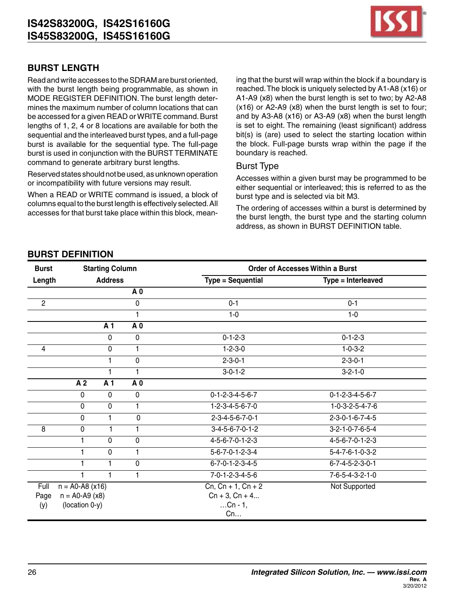

# **Burst Length**

Read and write accesses to the SDRAM are burst oriented, with the burst length being programmable, as shown in MODE REGISTER DEFINITION. The burst length determines the maximum number of column locations that can be accessed for a given READ or WRITE command. Burst lengths of 1, 2, 4 or 8 locations are available for both the sequential and the interleaved burst types, and a full-page burst is available for the sequential type. The full-page burst is used in conjunction with the BURST TERMINATE command to generate arbitrary burst lengths.

Reserved states should not be used, as unknown operation or incompatibility with future versions may result.

When a READ or WRITE command is issued, a block of columns equal to the burst length is effectively selected.All accesses for that burst take place within this block, meaning that the burst will wrap within the block if a boundary is reached.The block is uniquely selected by A1-A8 (x16) or A1-A9 (x8) when the burst length is set to two; by A2-A8 (x16) or A2-A9 (x8) when the burst length is set to four; and by A3-A8 (x16) or A3-A9 (x8) when the burst length is set to eight. The remaining (least significant) address bit(s) is (are) used to select the starting location within the block. Full-page bursts wrap within the page if the boundary is reached.

#### Burst Type

Accesses within a given burst may be programmed to be either sequential or interleaved; this is referred to as the burst type and is selected via bit M3.

The ordering of accesses within a burst is determined by the burst length, the burst type and the starting column address, as shown in BURST DEFINITION table.

## **Burst Definition**

| <b>Burst</b>   |                   | <b>Starting Column</b> |                 |                                 | Order of Accesses Within a Burst |  |  |
|----------------|-------------------|------------------------|-----------------|---------------------------------|----------------------------------|--|--|
| Length         |                   | <b>Address</b>         |                 | <b>Type = Sequential</b>        | Type = Interleaved               |  |  |
|                |                   |                        | A <sub>0</sub>  |                                 |                                  |  |  |
| $\overline{2}$ |                   |                        | 0               | $0 - 1$                         | $0 - 1$                          |  |  |
|                |                   |                        | 1               | $1-0$                           | $1-0$                            |  |  |
|                |                   | A 1                    | A 0             |                                 |                                  |  |  |
|                |                   | $\mathbf 0$            | $\overline{0}$  | $0 - 1 - 2 - 3$                 | $0 - 1 - 2 - 3$                  |  |  |
| $\overline{4}$ |                   | 0                      | $\overline{1}$  | $1 - 2 - 3 - 0$                 | $1 - 0 - 3 - 2$                  |  |  |
|                |                   |                        | 0               | $2 - 3 - 0 - 1$                 | $2 - 3 - 0 - 1$                  |  |  |
|                |                   |                        | 1               | $3 - 0 - 1 - 2$                 | $3 - 2 - 1 - 0$                  |  |  |
|                | A <sub>2</sub>    | A <sub>1</sub>         | $\overline{A}0$ |                                 |                                  |  |  |
|                | $\mathbf 0$       | 0                      | $\mathbf 0$     | $0 - 1 - 2 - 3 - 4 - 5 - 6 - 7$ | $0 - 1 - 2 - 3 - 4 - 5 - 6 - 7$  |  |  |
|                | $\mathbf 0$       | 0                      | 1               | $1 - 2 - 3 - 4 - 5 - 6 - 7 - 0$ | $1-0-3-2-5-4-7-6$                |  |  |
|                | $\overline{0}$    | 1                      | $\mathbf 0$     | $2 - 3 - 4 - 5 - 6 - 7 - 0 - 1$ | $2 - 3 - 0 - 1 - 6 - 7 - 4 - 5$  |  |  |
| 8              | $\mathbf 0$       | 1                      | 1               | $3-4-5-6-7-0-1-2$               | $3-2-1-0-7-6-5-4$                |  |  |
|                | 1                 | 0                      | 0               | $4 - 5 - 6 - 7 - 0 - 1 - 2 - 3$ | $4 - 5 - 6 - 7 - 0 - 1 - 2 - 3$  |  |  |
|                | 1                 | 0                      | 1               | $5 - 6 - 7 - 0 - 1 - 2 - 3 - 4$ | $5 - 4 - 7 - 6 - 1 - 0 - 3 - 2$  |  |  |
|                | 1                 | 1                      | $\overline{0}$  | $6 - 7 - 0 - 1 - 2 - 3 - 4 - 5$ | $6 - 7 - 4 - 5 - 2 - 3 - 0 - 1$  |  |  |
|                |                   |                        | 1               | $7 - 0 - 1 - 2 - 3 - 4 - 5 - 6$ | 7-6-5-4-3-2-1-0                  |  |  |
| Full           | $n = A0-A8 (x16)$ |                        |                 | $Cn, Cn + 1, Cn + 2$            | Not Supported                    |  |  |
| Page           | $n = A0-A9 (x8)$  |                        |                 | $Cn + 3$ , $Cn + 4$             |                                  |  |  |
| (y)            | (location 0-y)    |                        |                 | $Cn - 1$ ,                      |                                  |  |  |
|                |                   |                        |                 | Cn                              |                                  |  |  |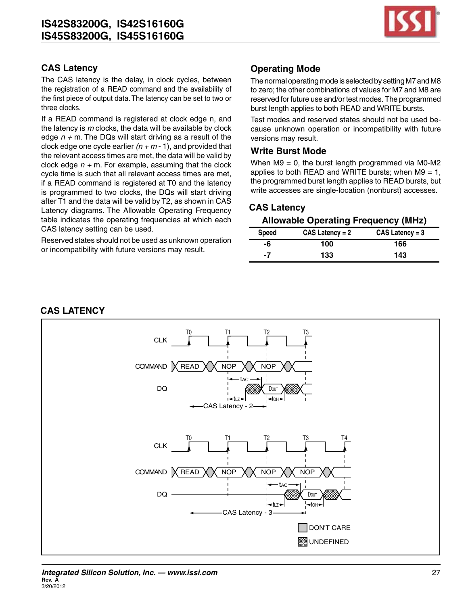

# **CAS Latency**

The CAS latency is the delay, in clock cycles, between the registration of a READ command and the availability of the first piece of output data. The latency can be set to two or three clocks.

If a READ command is registered at clock edge n, and the latency is *m* clocks, the data will be available by clock edge *n +* m. The DQs will start driving as a result of the clock edge one cycle earlier  $(n + m - 1)$ , and provided that the relevant access times are met, the data will be valid by clock edge  $n + m$ . For example, assuming that the clock cycle time is such that all relevant access times are met, if a READ command is registered at T0 and the latency is programmed to two clocks, the DQs will start driving after T1 and the data will be valid by T2, as shown in CAS Latency diagrams. The Allowable Operating Frequency table indicates the operating frequencies at which each CAS latency setting can be used.

Reserved states should not be used as unknown operation or incompatibility with future versions may result.

# **Operating Mode**

The normal operating mode is selected by setting M7 and M8 to zero; the other combinations of values for M7 and M8 are reserved for future use and/or test modes. The programmed burst length applies to both READ and WRITE bursts.

Test modes and reserved states should not be used because unknown operation or incompatibility with future versions may result.

#### **Write Burst Mode**

When  $M9 = 0$ , the burst length programmed via M0-M2 applies to both READ and WRITE bursts; when  $M9 = 1$ , the programmed burst length applies to READ bursts, but write accesses are single-location (nonburst) accesses.

# **CAS Latency**

#### **Allowable Operating Frequency (MHz)**

| Speed | $CAS$ Latency = 2 | $CAS$ Latency = 3 |
|-------|-------------------|-------------------|
| -6    | 100               | 166               |
| -7    | 133               | 143               |

#### **CAS Latency**

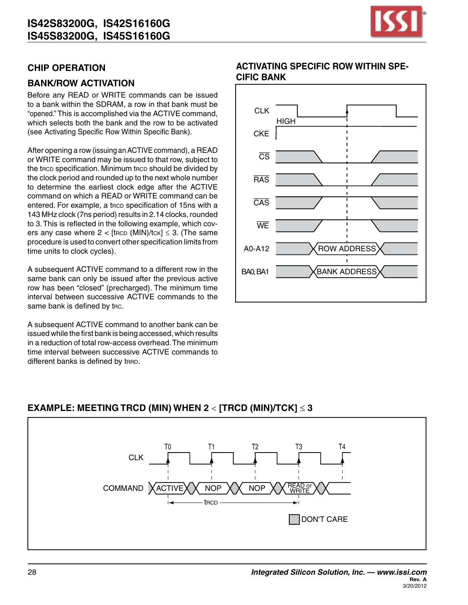

## **CHIP Operation**

## **BANK/ROW ACTIVATION**

Before any READ or WRITE commands can be issued to a bank within the SDRAM, a row in that bank must be "opened." This is accomplished via the ACTIVE command, which selects both the bank and the row to be activated (see Activating Specific Row Within Specific Bank).

After opening a row (issuing an ACTIVE command), a READ or WRITE command may be issued to that row, subject to the trcp specification. Minimum trcp should be divided by the clock period and rounded up to the next whole number to determine the earliest clock edge after the ACTIVE command on which a READ or WRITE command can be entered. For example, a trcp specification of 15ns with a 143 MHz clock (7ns period) results in 2.14 clocks, rounded to 3.This is reflected in the following example, which covers any case where  $2 <$  [trop (MIN)/tck]  $\leq$  3. (The same procedure is used to convert other specification limits from time units to clock cycles).

A subsequent ACTIVE command to a different row in the same bank can only be issued after the previous active row has been "closed" (precharged). The minimum time interval between successive ACTIVE commands to the same bank is defined by trc.

A subsequent ACTIVE command to another bank can be issued while the first bank is being accessed, which results in a reduction of total row-access overhead.The minimum time interval between successive ACTIVE commands to different banks is defined by trap.

### **Activating Specific Row Within Specific Bank**



# **EXAMPLE: MEETING TRCD (MIN) WHEN 2 <**  $[TRCD (MIN)/TCK] \le 3$

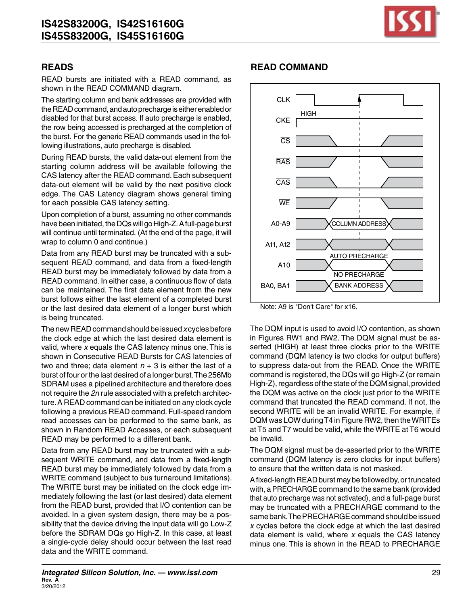

READ bursts are initiated with a READ command, as shown in the READ COMMAND diagram.

The starting column and bank addresses are provided with the READ command, and auto precharge is either enabled or disabled for that burst access. If auto precharge is enabled, the row being accessed is precharged at the completion of the burst. For the generic READ commands used in the following illustrations, auto precharge is disabled.

During READ bursts, the valid data-out element from the starting column address will be available following the CAS latency after the READ command.Each subsequent data-out element will be valid by the next positive clock edge. The CAS Latency diagram shows general timing for each possible CAS latency setting.

Upon completion of a burst, assuming no other commands have been initiated, the DQs will go High-Z. A full-page burst will continue until terminated. (At the end of the page, it will wrap to column 0 and continue.)

Data from any READ burst may be truncated with a subsequent READ command, and data from a fixed-length READ burst may be immediately followed by data from a READ command. In either case, a continuous flow of data can be maintained. The first data element from the new burst follows either the last element of a completed burst or the last desired data element of a longer burst which is being truncated.

The new READ command should be issued *x* cycles before the clock edge at which the last desired data element is valid, where *x* equals the CAS latency minus one. This is shown in Consecutive READ Bursts for CAS latencies of two and three; data element  $n + 3$  is either the last of a burst of four orthe last desired of a longer burst.The 256Mb SDRAM uses a pipelined architecture and therefore does not require the *2n* rule associated with a prefetch architecture.A READ command can be initiated on any clock cycle following a previous READ command. Full-speed random read accesses can be performed to the same bank, as shown in Random READ Accesses, or each subsequent READ may be performed to a different bank.

Data from any READ burst may be truncated with a subsequent WRITE command, and data from a fixed-length READ burst may be immediately followed by data from a WRITE command (subject to bus turnaround limitations). The WRITE burst may be initiated on the clock edge immediately following the last (or last desired) data element from the READ burst, provided that I/O contention can be avoided. In a given system design, there may be a possibility that the device driving the input data will go Low-Z before the SDRAM DQs go High-Z. In this case, at least a single-cycle delay should occur between the last read data and the WRITE command.

# **READs READ COMMAND**



Note: A9 is "Don't Care" for x16.

The DQM input is used to avoid I/O contention, as shown in Figures RW1 and RW2. The DQM signal must be asserted (HIGH) at least three clocks prior to the WRITE command (DQM latency is two clocks for output buffers) to suppress data-out from the READ. Once the WRITE command is registered, the DQs will go High-Z (or remain High-Z), regardless of the state of the DQM signal, provided the DQM was active on the clock just prior to the WRITE command that truncated the READ command. If not, the second WRITE will be an invalid WRITE. For example, if DQM was LOW during T4 in Figure RW2, then the WRITEs at T5 and T7 would be valid, while the WRITE at T6 would be invalid.

The DQM signal must be de-asserted prior to the WRITE command (DQM latency is zero clocks for input buffers) to ensure that the written data is not masked.

A fixed-length READ burst may be followed by, or truncated with, aPRECHARGE command to the same bank (provided that auto precharge was not activated), and a full-page burst may be truncated with a PRECHARGE command to the same bank. The PRECHARGE command should be issued *x* cycles before the clock edge at which the last desired data element is valid, where *x* equals the CAS latency minus one. This is shown in the READ to PRECHARGE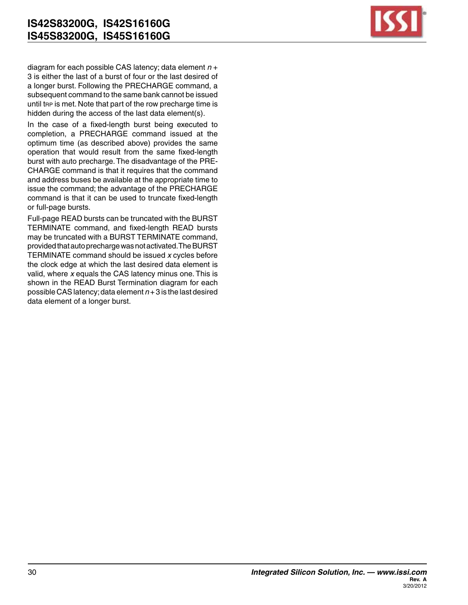

diagram for each possible CAS latency; data element *n* + 3 is either the last of a burst of four or the last desired of a longer burst. Following the PRECHARGE command, a subsequent command to the same bank cannot be issued until the is met. Note that part of the row precharge time is hidden during the access of the last data element(s).

In the case of a fixed-length burst being executed to completion, a PRECHARGE command issued at the optimum time (as described above) provides the same operation that would result from the same fixed-length burst with auto precharge.The disadvantage of the PRE-CHARGE command is that it requires that the command and address buses be available at the appropriate time to issue the command; the advantage of the PRECHARGE command is that it can be used to truncate fixed-length or full-page bursts.

Full-page READ bursts can be truncated with the BURST TERMINATE command, and fixed-length READ bursts may be truncated with a BURST TERMINATE command, providedthatautoprechargewasnotactivated.TheBURST TERMINATE command should be issued *x* cycles before the clock edge at which the last desired data element is valid, where *x* equals the CAS latency minus one. This is shown in the READ Burst Termination diagram for each possible CASlatency;data element *n* + 3 is the last desired data element of a longer burst.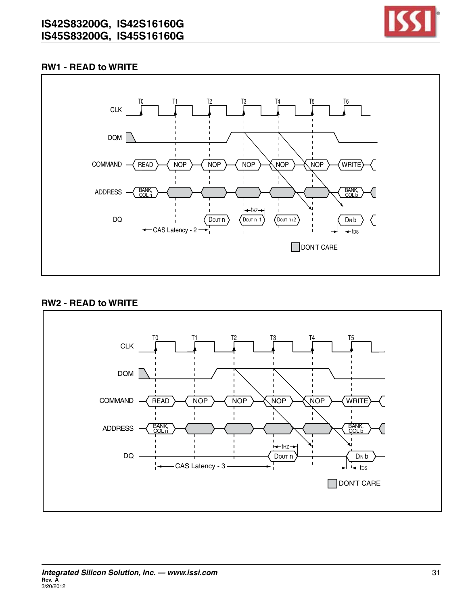

### **RW1 - READ to WRITE**



#### **RW2 - READ to WRITE**

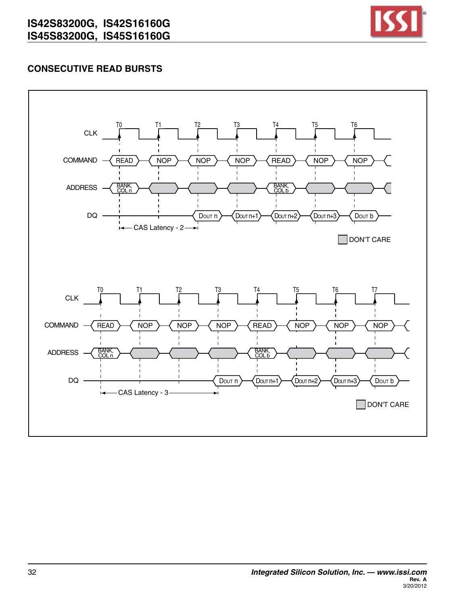

# **Consecutive READ Bursts**

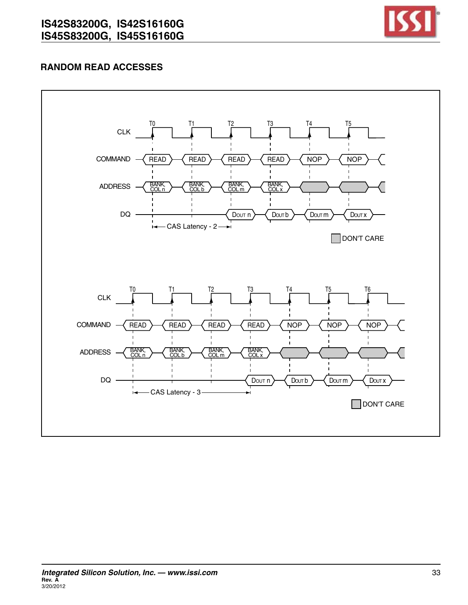

# **Random READ Accesses**

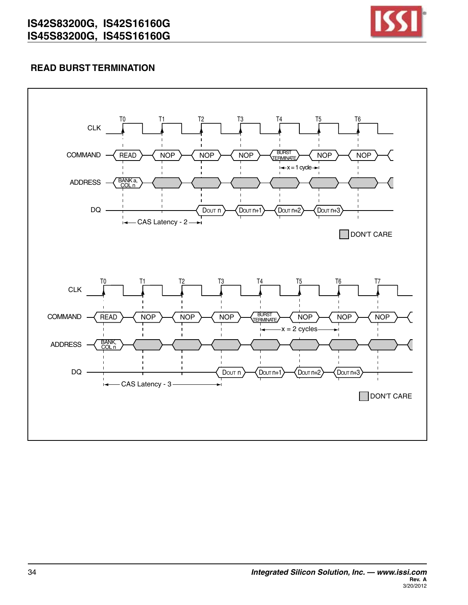

# **READ Burst Termination**

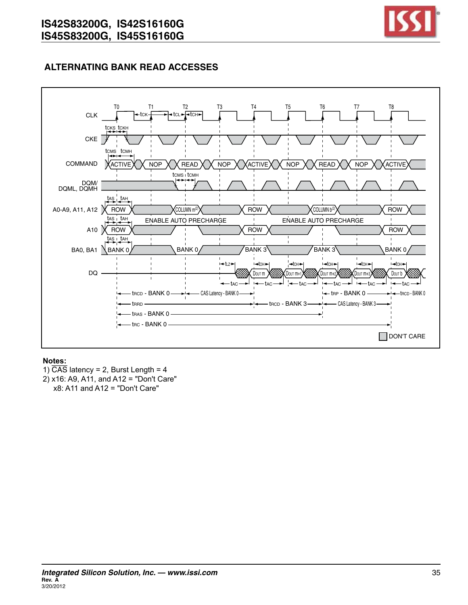

# **ALTERNATING BANK READ ACCESSES**



#### **Notes:**

1)  $\overline{CAS}$  latency = 2, Burst Length = 4 2) x16: A9, A11, and A12 = "Don't Care"  $x8$ : A11 and A12 = "Don't Care"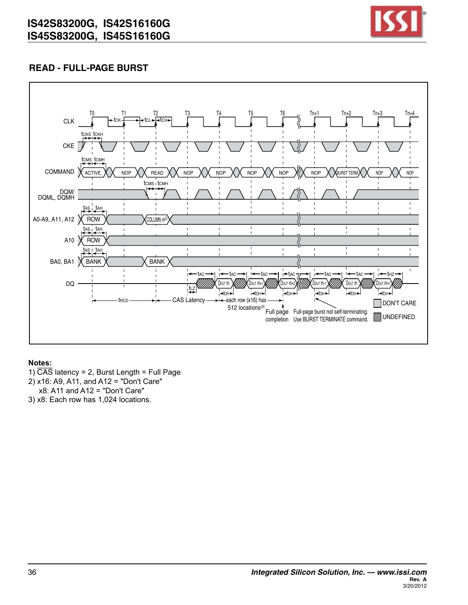

# **READ - FULL-PAGE BURST**



#### **Notes:**

- 1)  $\overline{CAS}$  latency = 2, Burst Length = Full Page
- 2) x16: A9, A11, and A12 = "Don't Care"
- x8: A11 and A12 = "Don't Care"

3) x8: Each row has 1,024 locations.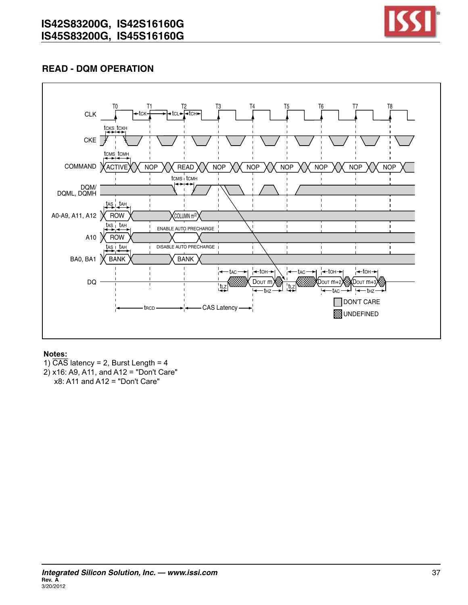

# **READ - DQM OPERATION**



- 1)  $\overline{CAS}$  latency = 2, Burst Length = 4
- 2) x16: A9, A11, and A12 = "Don't Care"
- x8: A11 and A12 = "Don't Care"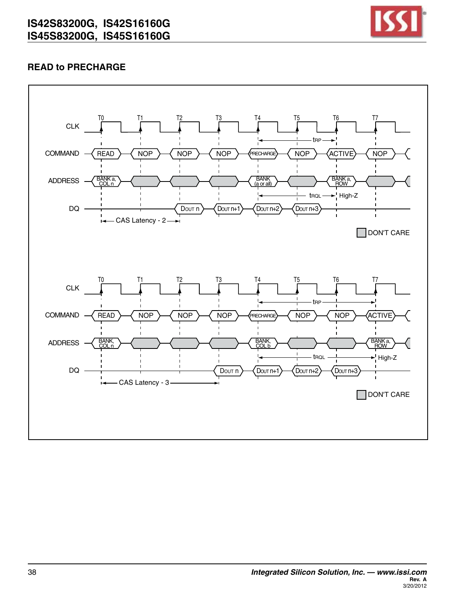

# **READ to PRECHARGE**

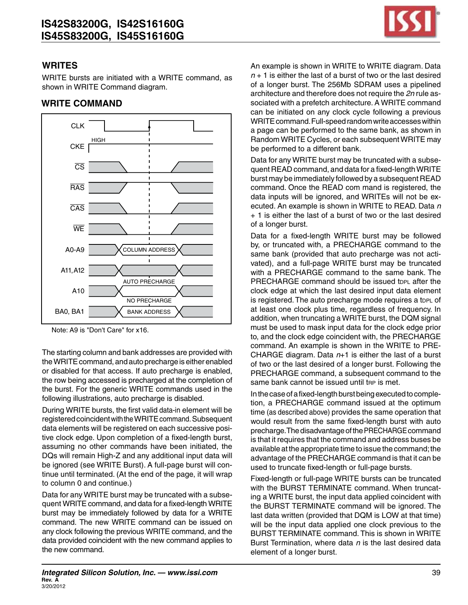

#### **WRITEs**

WRITE bursts are initiated with a WRITE command, as shown in WRITE Command diagram.



#### **WRITE Command**

The starting column and bank addresses are provided with the WRITE command, and auto precharge is either enabled or disabled for that access. If auto precharge is enabled, the row being accessed is precharged at the completion of the burst. For the generic WRITE commands used in the following illustrations, auto precharge is disabled.

During WRITE bursts, the first valid data-in element will be registered coincident with the WRITE command. Subsequent data elements will be registered on each successive positive clock edge. Upon completion of a fixed-length burst, assuming no other commands have been initiated, the DQs will remain High-Z and any additional input data will be ignored (see WRITE Burst). A full-page burst will continue until terminated. (At the end of the page, it will wrap to column 0 and continue.)

Data for any WRITE burst may be truncated with a subsequent WRITE command, and data for a fixed-length WRITE burst may be immediately followed by data for a WRITE command. The new WRITE command can be issued on any clock following the previous WRITE command, and the data provided coincident with the new command applies to the new command.

An example is shown in WRITE to WRITE diagram. Data *n* + 1 is either the last of a burst of two or the last desired of a longer burst. The 256Mb SDRAM uses a pipelined architecture and therefore does not require the *2n* rule associated with a prefetch architecture. A WRITE command can be initiated on any clock cycle following a previous WRITE command. Full-speed random write accesses within a page can be performed to the same bank, as shown in Random WRITE Cycles, or each subsequent WRITE may be performed to a different bank.

Data for any WRITE burst may be truncated with a subsequent READ command, and data for a fixed-lengthWRITE burst may be immediately followed by a subsequent READ command. Once the READ com mand is registered, the data inputs will be ignored, and WRITEs will not be executed. An example is shown in WRITE to READ. Data *n*  + 1 is either the last of a burst of two or the last desired of a longer burst.

Data for a fixed-length WRITE burst may be followed by, or truncated with, a PRECHARGE command to the same bank (provided that auto precharge was not activated), and a full-page WRITE burst may be truncated with a PRECHARGE command to the same bank. The PRECHARGE command should be issued topl after the clock edge at which the last desired input data element is registered. The auto precharge mode requires a topl of at least one clock plus time, regardless of frequency. In addition, when truncating a WRITE burst, the DQM signal must be used to mask input data for the clock edge prior to, and the clock edge coincident with, the PRECHARGE command. An example is shown in the WRITE to PRE-CHARGE diagram. Data *n*+1 is either the last of a burst of two or the last desired of a longer burst. Following the PRECHARGE command, a subsequent command to the same bank cannot be issued until trp is met.

In the case of a fixed-length burst being executed to completion, a PRECHARGE command issued at the optimum time (as described above) provides the same operation that would result from the same fixed-length burst with auto precharge. The disadvantage of the PRECHARGE command is that it requires that the command and address buses be available at the appropriate time to issue the command;the advantage of the PRECHARGE command is that it can be used to truncate fixed-length or full-page bursts.

Fixed-length or full-page WRITE bursts can be truncated with the BURST TERMINATE command. When truncating a WRITE burst, the input data applied coincident with the BURST TERMINATE command will be ignored. The last data written (provided that DQM is LOW at that time) will be the input data applied one clock previous to the BURST TERMINATE command. This is shown in WRITE Burst Termination, where data *n* is the last desired data element of a longer burst.

Note: A9 is "Don't Care" for x16.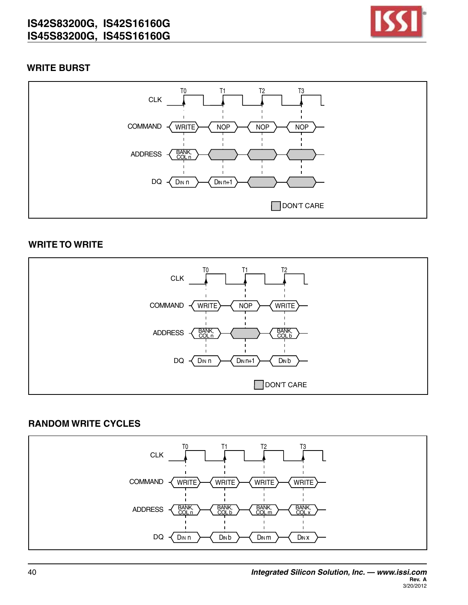

## **WRITE Burst**



### **WRITE to WRITE**



# **Random WRITE Cycles**

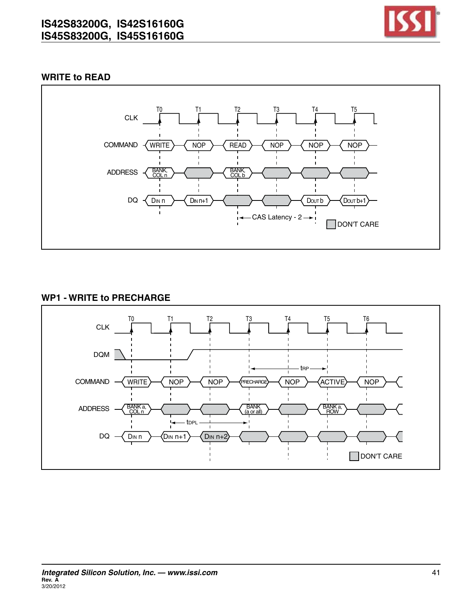

## **WRITE to READ**



## **WP1 - WRITE to PRECHARGE**

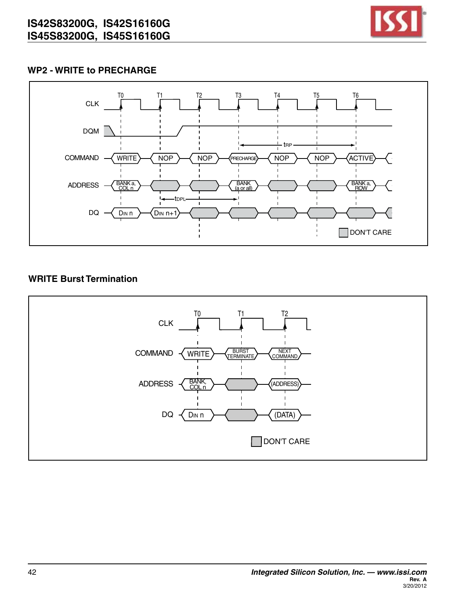

## **WP2 - WRITE to PRECHARGE**



# **WRITE Burst Termination**

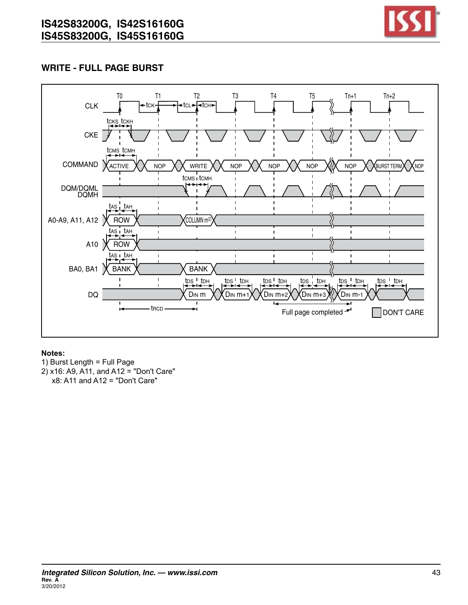![](_page_42_Picture_1.jpeg)

# **write - full page burst**

![](_page_42_Figure_3.jpeg)

- 1) Burst Length = Full Page
- 2) x16: A9, A11, and A12 = "Don't Care" x8: A11 and A12 = "Don't Care"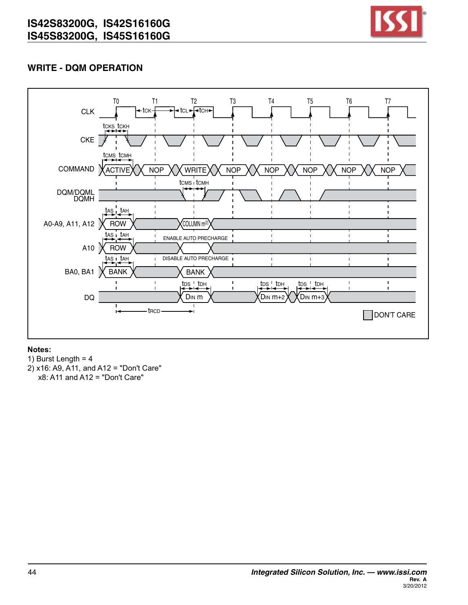![](_page_43_Picture_1.jpeg)

# **WRITE - DQM OPERATION**

![](_page_43_Figure_3.jpeg)

- 1) Burst Length =  $4$
- 2) x16: A9, A11, and A12 = "Don't Care" x8: A11 and A12 = "Don't Care"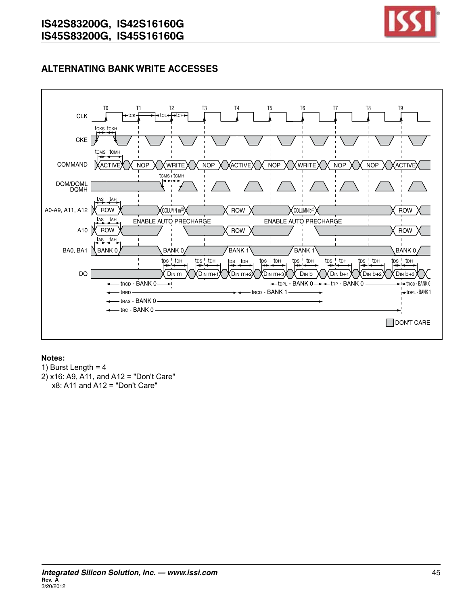![](_page_44_Picture_1.jpeg)

# **ALTERNATING BANK WRITE ACCESSES**

![](_page_44_Figure_3.jpeg)

- 1) Burst Length =  $4$
- 2) x16: A9, A11, and A12 = "Don't Care" x8: A11 and A12 = "Don't Care"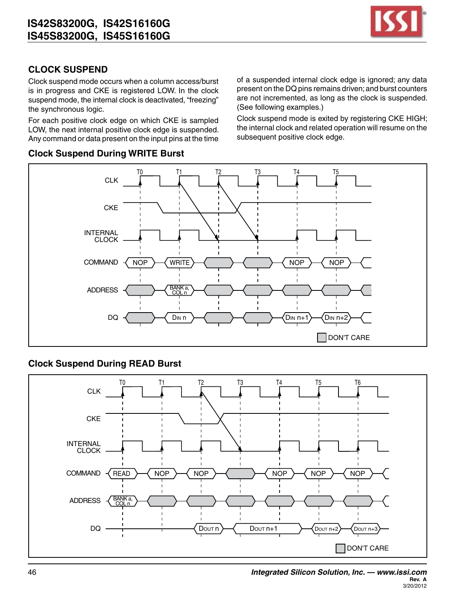![](_page_45_Picture_1.jpeg)

# **CLOCK SUSPEND**

Clock suspend mode occurs when a column access/burst is in progress and CKE is registered LOW. In the clock suspend mode, the internal clock is deactivated, "freezing" the synchronous logic.

For each positive clock edge on which CKE is sampled LOW, the next internal positive clock edge is suspended. Any command or data present on the input pins at the time

#### **Clock Suspend During WRITE Burst**

of a suspended internal clock edge is ignored; any data present on the DQ pins remains driven; and burst counters are not incremented, as long as the clock is suspended. (See following examples.)

Clock suspend mode is exited by registering CKE HIGH; the internal clock and related operation will resume on the subsequent positive clock edge.

![](_page_45_Figure_8.jpeg)

# **Clock Suspend During READ Burst**

![](_page_45_Figure_10.jpeg)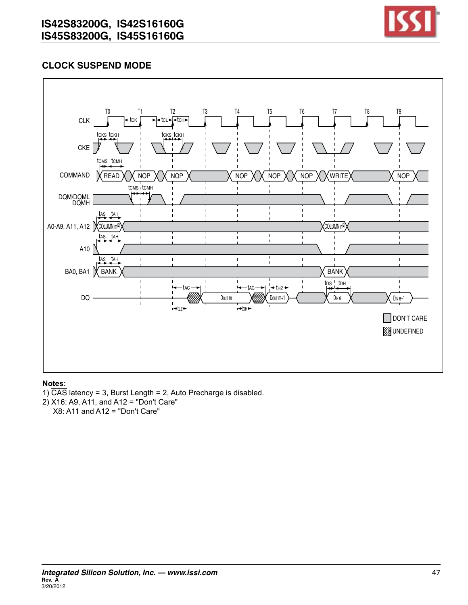![](_page_46_Picture_1.jpeg)

# **Clock Suspend Mode**

![](_page_46_Figure_3.jpeg)

#### **Notes:**

- 1)  $\overline{CAS}$  latency = 3, Burst Length = 2, Auto Precharge is disabled.
- 2) X16: A9, A11, and A12 = "Don't Care"

X8: A11 and A12 = "Don't Care"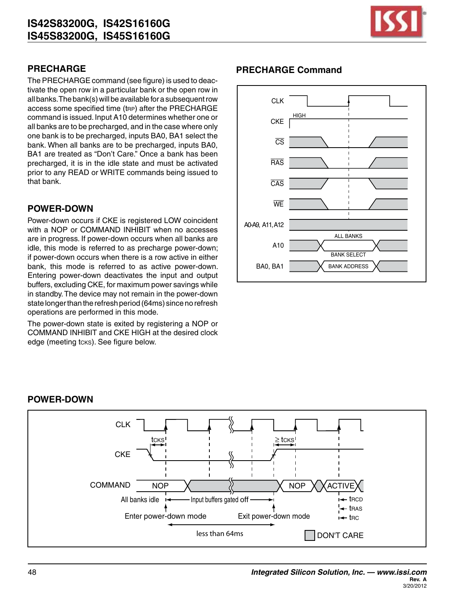![](_page_47_Picture_1.jpeg)

# **PRECHARGE**

The PRECHARGE command (see figure) is used to deactivate the open row in a particular bank or the open row in all banks. The bank(s) will be available for a subsequent row access some specified time (trp) after the PRECHARGE command is issued.Input A10 determines whether one or all banks are to be precharged, and in the case where only one bank is to be precharged, inputs BA0, BA1 select the bank. When all banks are to be precharged, inputs BA0, BA1 are treated as "Don't Care." Once a bank has been precharged, it is in the idle state and must be activated prior to any READ or WRITE commands being issued to that bank.

# **POWER-DOWN**

Power-down occurs if CKE is registered LOW coincident with a NOP or COMMAND INHIBIT when no accesses are in progress. If power-down occurs when all banks are idle, this mode is referred to as precharge power-down; if power-down occurs when there is a row active in either bank, this mode is referred to as active power-down. Entering power-down deactivates the input and output buffers, excluding CKE, for maximum power savings while in standby.The device may not remain in the power-down state longer than the refresh period (64ms) since no refresh operations are performed in this mode.

The power-down state is exited by registering a NOP or COMMAND INHIBIT and CKE HIGH at the desired clock edge (meeting tcks). See figure below.

# **PRECHARGE Command**

![](_page_47_Figure_8.jpeg)

#### **POWER-DOWN**

![](_page_47_Figure_10.jpeg)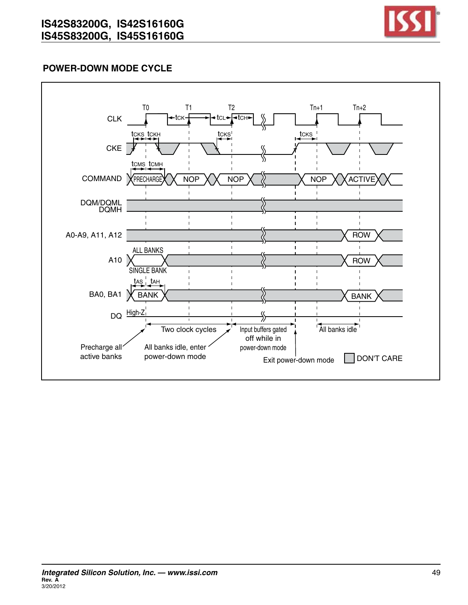![](_page_48_Picture_1.jpeg)

# **Power-Down Mode Cycle**

![](_page_48_Figure_3.jpeg)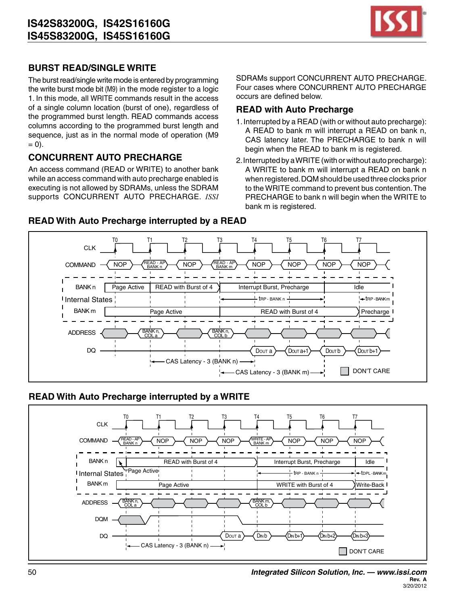![](_page_49_Picture_1.jpeg)

# **BURST READ/SINGLE WRITE**

The burst read/single write mode is entered by programming the write burst mode bit (M9) in the mode register to a logic 1. In this mode, all WRITE commands result in the access of a single column location (burst of one), regardless of the programmed burst length. READ commands access columns according to the programmed burst length and sequence, just as in the normal mode of operation (M9  $= 0$ ).

# **CONCURRENT AUTO PRECHARGE**

An access command (READ or WRITE) to another bank while an access command with auto precharge enabled is executing is not allowed by SDRAMs, unless the SDRAM supports CONCURRENT AUTO PRECHARGE. *ISSI* SDRAMs support CONCURRENT AUTO PRECHARGE. Four cases where CONCURRENT AUTO PRECHARGE occurs are defined below.

## **READ with Auto Precharge**

- 1.Interrupted by a READ (with or without auto precharge): A READ to bank m will interrupt a READ on bank n, CAS latency later. The PRECHARGE to bank n will begin when the READ to bank m is registered.
- 2.Interrupted by aWRITE(with or without auto precharge): A WRITE to bank m will interrupt a READ on bank n when registered. DQM should be used three clocks prior to the WRITE command to prevent bus contention.The PRECHARGE to bank n will begin when the WRITE to bank m is registered.

![](_page_49_Figure_10.jpeg)

## **READ With Auto Precharge interrupted by a READ**

# **READ With Auto Precharge interrupted by a WRITE**

![](_page_49_Figure_13.jpeg)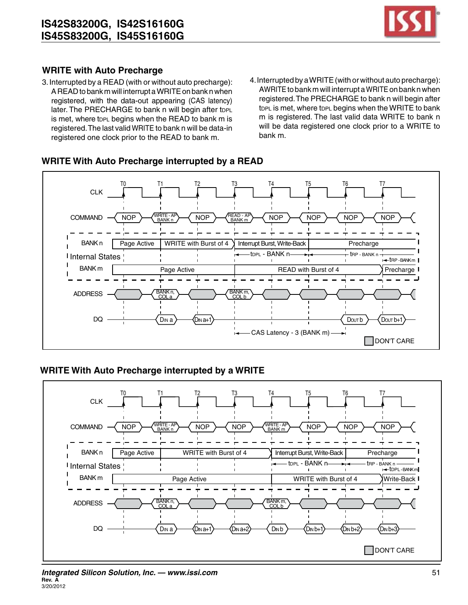![](_page_50_Picture_1.jpeg)

## **WRITE with Auto Precharge**

- 3.Interrupted by a READ (with or without auto precharge): A READ to bank m will interrupt a WRITE on bank n when registered, with the data-out appearing (CAS latency) later. The PRECHARGE to bank n will begin after topL is met, where topl begins when the READ to bank m is registered.The last valid WRITE to bank n will be data-in registered one clock prior to the READ to bank m.
- 4.Interrupted by aWRITE(with or without auto precharge): AWRITE to bank m will interrupt a WRITE on bank n when registered.The PRECHARGE to bank n will begin after topl is met, where topl begins when the WRITE to bank m is registered. The last valid data WRITE to bank n will be data registered one clock prior to a WRITE to bank m.

#### **WRITE With Auto Precharge interrupted by a READ**

![](_page_50_Figure_6.jpeg)

# **WRITE With Auto Precharge interrupted by a WRITE**

![](_page_50_Figure_8.jpeg)

#### *Integrated Silicon Solution, Inc. — www.issi.com* 51 **Rev. A** 3/20/2012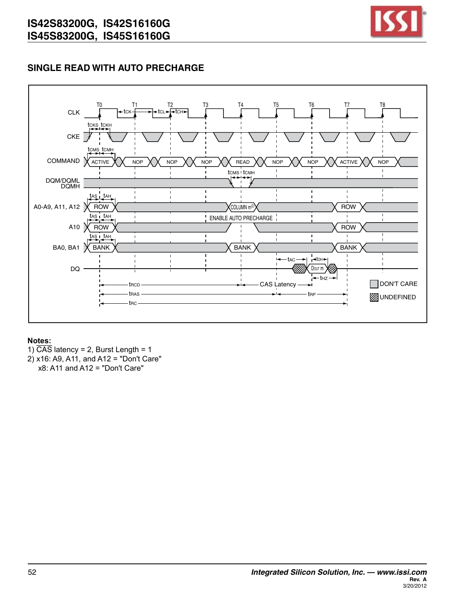![](_page_51_Picture_1.jpeg)

# **SINGLE READ WITH AUTO PRECHARGE**

![](_page_51_Figure_3.jpeg)

#### **Notes:**

1)  $\overline{CAS}$  latency = 2, Burst Length = 1 2) x16: A9, A11, and A12 = "Don't Care" x8: A11 and A12 = "Don't Care"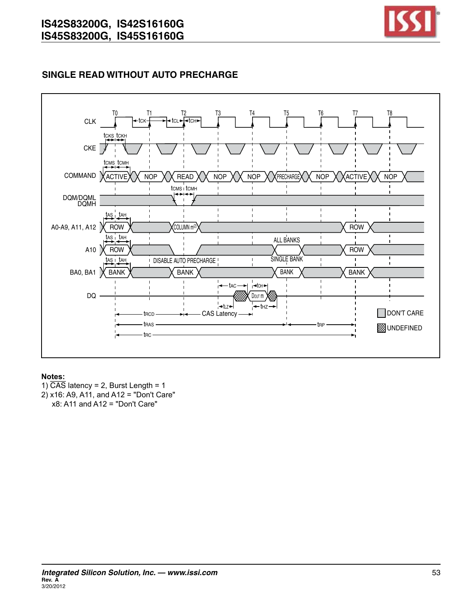![](_page_52_Picture_1.jpeg)

# **SINGLE READ WITHOUT AUTO PRECHARGE**

![](_page_52_Figure_3.jpeg)

#### **Notes:**

1)  $\overline{CAS}$  latency = 2, Burst Length = 1 2) x16: A9, A11, and A12 = "Don't Care"  $x8$ : A11 and A12 = "Don't Care"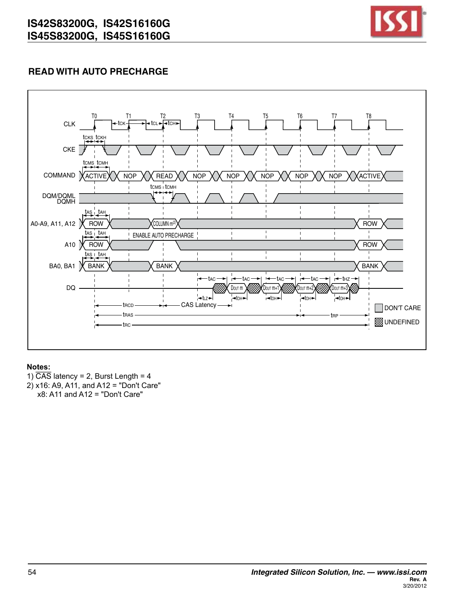![](_page_53_Picture_1.jpeg)

# **READ WITH AUTO PRECHARGE**

![](_page_53_Figure_3.jpeg)

#### **Notes:**

1)  $\overline{CAS}$  latency = 2, Burst Length = 4 2) x16: A9, A11, and A12 = "Don't Care" x8: A11 and A12 = "Don't Care"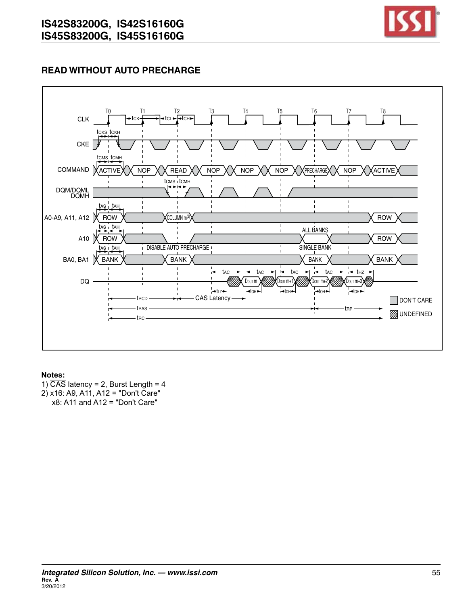![](_page_54_Picture_1.jpeg)

# **READ WITHOUT AUTO PRECHARGE**

![](_page_54_Figure_3.jpeg)

- 1)  $\overline{CAS}$  latency = 2, Burst Length = 4 2) x16: A9, A11, A12 = "Don't Care"
- $x8$ : A11 and A12 = "Don't Care"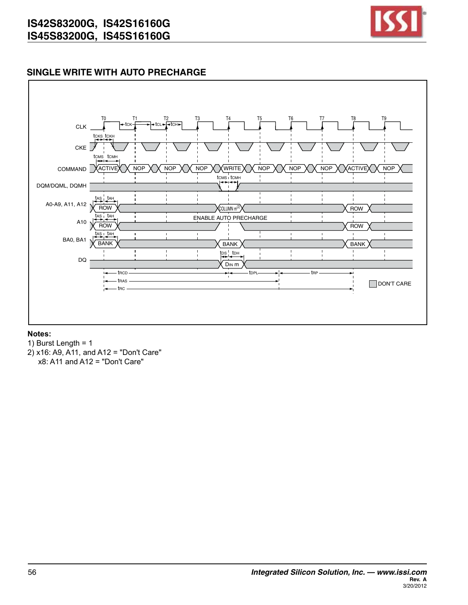![](_page_55_Picture_1.jpeg)

# **SINGLE WRITE WITH AUTO PRECHARGE**

![](_page_55_Figure_3.jpeg)

- 1) Burst Length = 1
- 2) x16: A9, A11, and A12 = "Don't Care" x8: A11 and A12 = "Don't Care"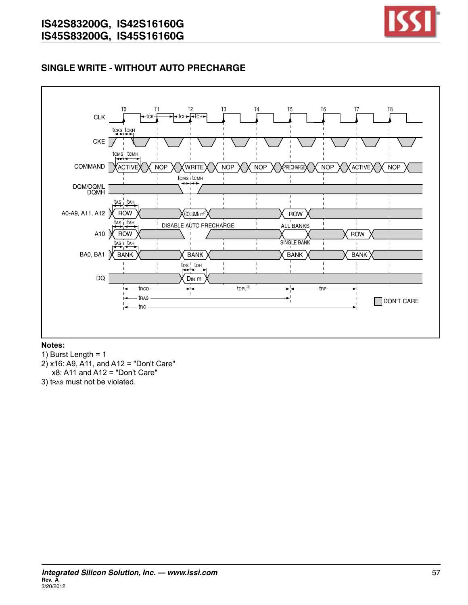![](_page_56_Picture_1.jpeg)

# **SINGLE WRITE - WITHOUT AUTO PRECHARGE**

![](_page_56_Figure_3.jpeg)

- 1) Burst Length =  $1$
- 2) x16: A9, A11, and A12 = "Don't Care"  $x8$ : A11 and A12 = "Don't Care"
- 3) tras must not be violated.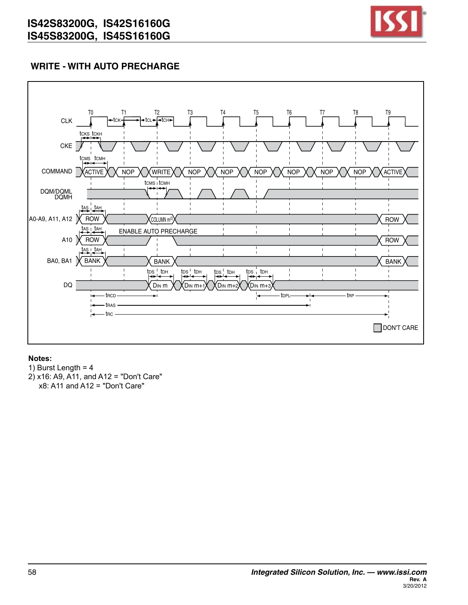![](_page_57_Picture_1.jpeg)

# **WRITE - WITH AUTO PRECHARGE**

![](_page_57_Figure_3.jpeg)

#### **Notes:**

1) Burst Length =  $4$ 2) x16: A9, A11, and A12 = "Don't Care" x8: A11 and A12 = "Don't Care"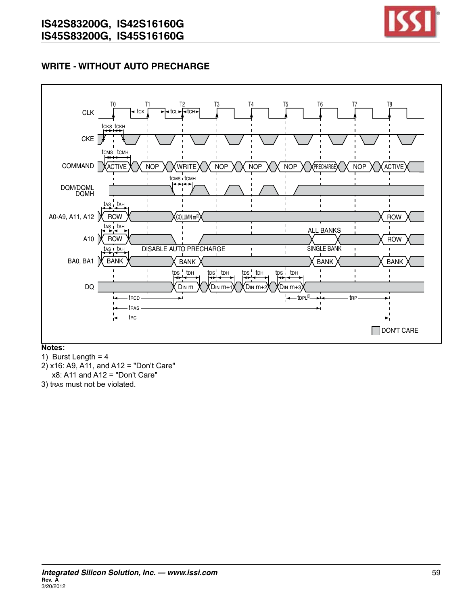![](_page_58_Picture_1.jpeg)

# **WRITE - WITHOUT AUTO PRECHARGE**

![](_page_58_Figure_3.jpeg)

**Notes:**

1) Burst Length =  $4$ 

- 2) x16: A9, A11, and A12 = "Don't Care"  $x8$ : A11 and A12 = "Don't Care"
- 3) tras must not be violated.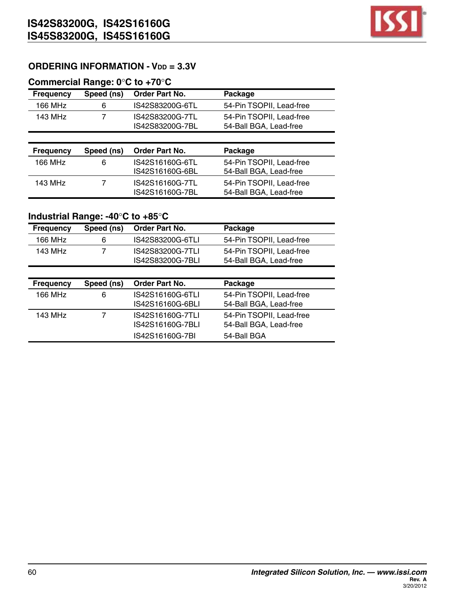![](_page_59_Picture_1.jpeg)

# **ORDERING INFORMATION - Vdd = 3.3V**

### **Commercial Range: 0**°**C to +70**°**C**

| <b>Frequency</b> | Speed (ns) | <b>Order Part No.</b>              | Package                                            |
|------------------|------------|------------------------------------|----------------------------------------------------|
| 166 MHz          | 6          | IS42S83200G-6TL                    | 54-Pin TSOPII, Lead-free                           |
| 143 MHz          | 7          | IS42S83200G-7TL<br>IS42S83200G-7BL | 54-Pin TSOPII, Lead-free<br>54-Ball BGA, Lead-free |
|                  |            |                                    |                                                    |
|                  |            |                                    |                                                    |
| <b>Frequency</b> | Speed (ns) | Order Part No.                     | Package                                            |
| 166 MHz          | 6          | IS42S16160G-6TL<br>IS42S16160G-6BL | 54-Pin TSOPII, Lead-free<br>54-Ball BGA, Lead-free |

# **Industrial Range: -40**°**C to +85**°**C**

| <b>Frequency</b> | Speed (ns) | Order Part No.                       | Package                                            |
|------------------|------------|--------------------------------------|----------------------------------------------------|
| 166 MHz          | 6          | IS42S83200G-6TLI                     | 54-Pin TSOPII, Lead-free                           |
| 143 MHz          | 7          | IS42S83200G-7TLI<br>IS42S83200G-7BLI | 54-Pin TSOPII, Lead-free<br>54-Ball BGA, Lead-free |
|                  |            |                                      |                                                    |
| <b>Frequency</b> | Speed (ns) | <b>Order Part No.</b>                | Package                                            |
| 166 MHz          | 6          | IS42S16160G-6TLI<br>IS42S16160G-6BLI | 54-Pin TSOPII, Lead-free<br>54-Ball BGA, Lead-free |
|                  |            |                                      |                                                    |
| 143 MHz          |            | IS42S16160G-7TLI<br>IS42S16160G-7BLI | 54-Pin TSOPII, Lead-free<br>54-Ball BGA, Lead-free |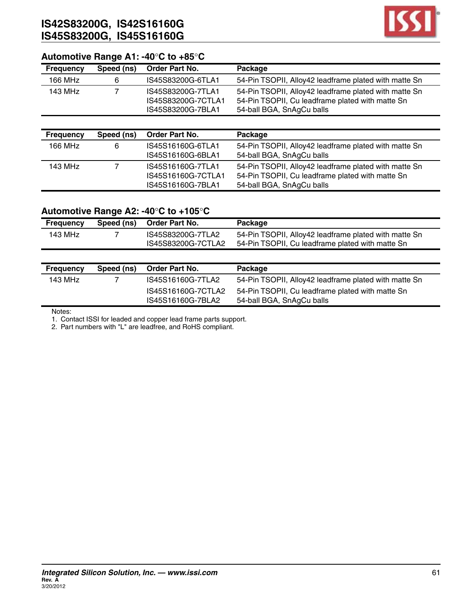![](_page_60_Picture_1.jpeg)

# **Automotive Range A1: -40**°**C to +85**°**C**

| <b>Frequency</b> | Speed (ns) | Order Part No.                                               | Package                                                                                                                                |
|------------------|------------|--------------------------------------------------------------|----------------------------------------------------------------------------------------------------------------------------------------|
| 166 MHz          | 6          | IS45S83200G-6TLA1                                            | 54-Pin TSOPII, Alloy42 leadframe plated with matte Sn                                                                                  |
| 143 MHz          |            | IS45S83200G-7TLA1<br>IS45S83200G-7CTLA1<br>IS45S83200G-7BLA1 | 54-Pin TSOPII, Alloy42 leadframe plated with matte Sn<br>54-Pin TSOPII, Cu leadframe plated with matte Sn<br>54-ball BGA, SnAgCu balls |
|                  |            |                                                              |                                                                                                                                        |
| <b>Frequency</b> | Speed (ns) | <b>Order Part No.</b>                                        | Package                                                                                                                                |
|                  |            |                                                              |                                                                                                                                        |

| 166 MHz | 6 | IS45S16160G-6TLA1<br>IS45S16160G-6BLA1 | 54-Pin TSOPII, Alloy42 leadframe plated with matte Sn<br>54-ball BGA, SnAgCu balls |
|---------|---|----------------------------------------|------------------------------------------------------------------------------------|
| 143 MHz |   | IS45S16160G-7TLA1                      | 54-Pin TSOPII, Alloy42 leadframe plated with matte Sn                              |
|         |   | IS45S16160G-7CTLA1                     | 54-Pin TSOPII, Cu leadframe plated with matte Sn                                   |
|         |   | IS45S16160G-7BLA1                      | 54-ball BGA, SnAgCu balls                                                          |

## **Automotive Range A2: -40**°**C to +105**°**C**

| <b>Frequency</b> | Speed (ns) | Order Part No.                          | Package                                                                                                   |
|------------------|------------|-----------------------------------------|-----------------------------------------------------------------------------------------------------------|
| 143 MHz          |            | IS45S83200G-7TLA2<br>IS45S83200G-7CTLA2 | 54-Pin TSOPII, Alloy42 leadframe plated with matte Sn<br>54-Pin TSOPII, Cu leadframe plated with matte Sn |

| <b>Frequency</b> | Speed (ns) | Order Part No.                          | Package                                                                       |
|------------------|------------|-----------------------------------------|-------------------------------------------------------------------------------|
| 143 MHz          |            | IS45S16160G-7TLA2                       | 54-Pin TSOPII, Alloy42 leadframe plated with matte Sn                         |
|                  |            | IS45S16160G-7CTLA2<br>IS45S16160G-7BLA2 | 54-Pin TSOPII, Cu leadframe plated with matte Sn<br>54-ball BGA, SnAgCu balls |

Notes:

1. Contact ISSI for leaded and copper lead frame parts support.

2. Part numbers with "L" are leadfree, and RoHS compliant.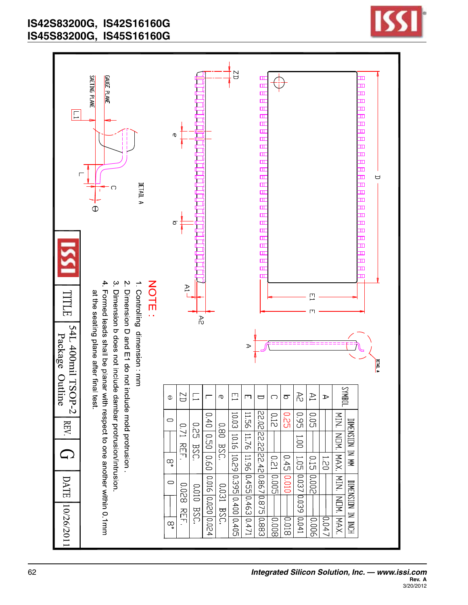![](_page_61_Figure_1.jpeg)